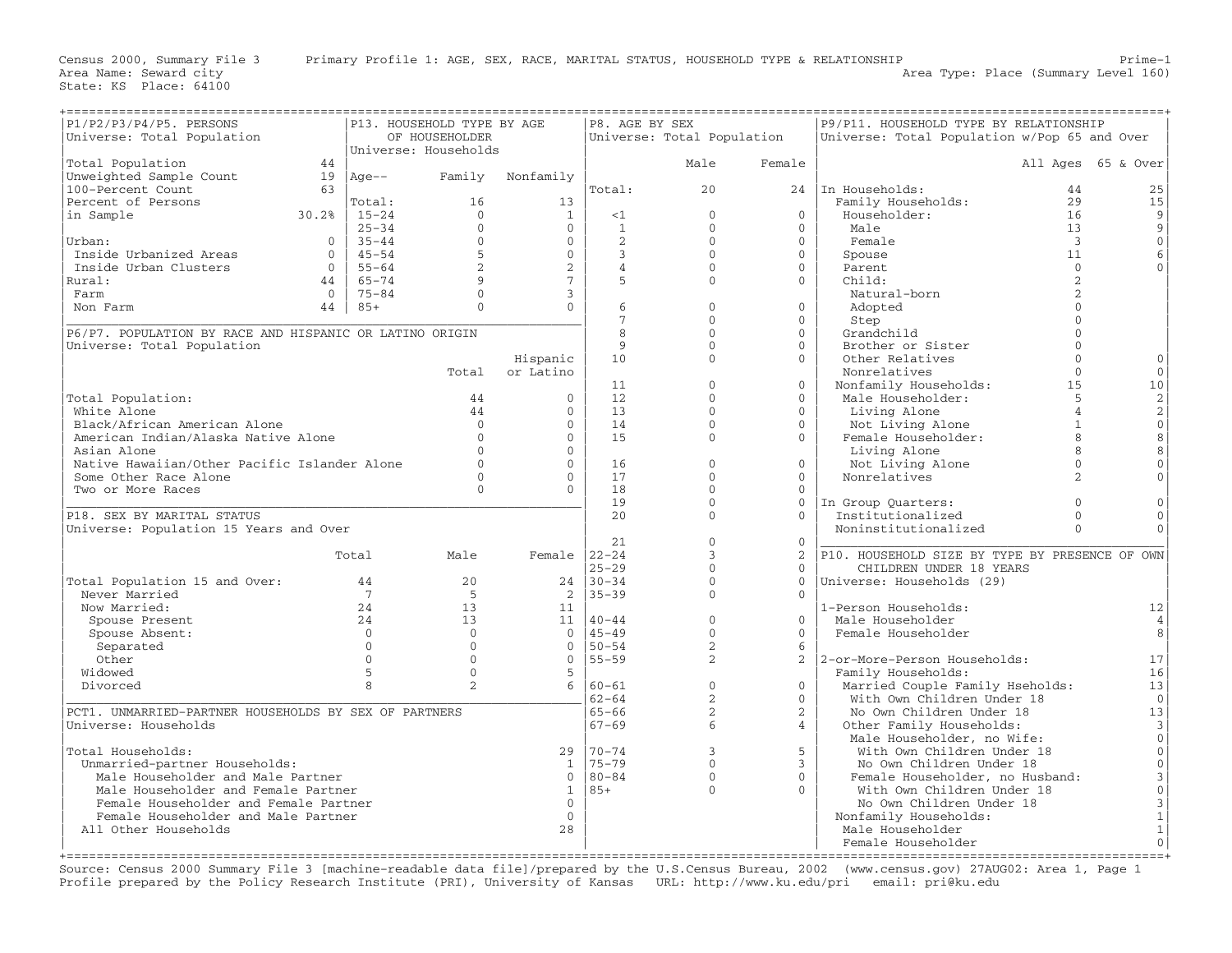| P1/P2/P3/P4/P5. PERSONS<br>P13. HOUSEHOLD TYPE BY AGE   |                |                |                      |                  | P8. AGE BY SEX    |                            |                | P9/P11. HOUSEHOLD TYPE BY RELATIONSHIP         |                |                     |
|---------------------------------------------------------|----------------|----------------|----------------------|------------------|-------------------|----------------------------|----------------|------------------------------------------------|----------------|---------------------|
| Universe: Total Population                              |                |                | OF HOUSEHOLDER       |                  |                   | Universe: Total Population |                | Universe: Total Population w/Pop 65 and Over   |                |                     |
|                                                         |                |                | Universe: Households |                  |                   |                            |                |                                                |                |                     |
| Total Population                                        | 44             |                |                      |                  |                   | Male                       | Female         |                                                |                | All Ages 65 & Over  |
| Unweighted Sample Count                                 | 19             | $ Aqe--$       |                      | Family Nonfamily |                   |                            |                |                                                |                |                     |
| 100-Percent Count                                       | 63             |                |                      |                  | Total:            | 20                         |                | 24 In Households:                              | 44             | 25                  |
| Percent of Persons                                      |                | Total:         | 16                   | 13               |                   |                            |                | Family Households:                             | 2.9            | 15                  |
| in Sample                                               | 30.2%          | $15 - 24$      | $\Omega$             | 1                | <1                | $\Omega$                   | $\Omega$       | Householder:                                   | 16             | 9                   |
|                                                         |                | $25 - 34$      | $\Omega$             | $\overline{0}$   | $\mathbf{1}$      | $\Omega$                   | $\Omega$       | Male                                           | 13             | 9                   |
| Urban:                                                  | $\overline{0}$ | $35 - 44$      | $\mathbf{0}$         | $\overline{0}$   | 2                 | $\Omega$                   | $\Omega$       | Female                                         | $\overline{3}$ | $\mathsf{O}\xspace$ |
| Inside Urbanized Areas                                  | $\overline{0}$ | $45 - 54$      | 5                    | $\overline{0}$   | $\mathcal{E}$     | $\Omega$                   | $\Omega$       | Spouse                                         | 11             | 6                   |
| Inside Urban Clusters                                   | $\Omega$       | $55 - 64$      | $\overline{2}$       | 2                | $\overline{4}$    | $\Omega$                   | $\Omega$       | Parent                                         | $\Omega$       |                     |
| Rural:                                                  | 44             | 65-74          | 9                    | $7\phantom{.0}$  | 5                 | $\Omega$                   | $\Omega$       | Child:                                         | 2              |                     |
| Farm                                                    | $\overline{0}$ | $75 - 84$      | $\Omega$             | $\mathbf{3}$     |                   |                            |                | Natural-born                                   | $\mathcal{D}$  |                     |
| Non Farm                                                |                | $44 \mid 85+$  | $\Omega$             | $\Omega$         | 6                 | $\Omega$                   | $\Omega$       | Adopted                                        | $\Omega$       |                     |
|                                                         |                |                |                      |                  | $7\overline{ }$   | $\Omega$                   | $\Omega$       | Step                                           | $\cap$         |                     |
| P6/P7. POPULATION BY RACE AND HISPANIC OR LATINO ORIGIN |                |                |                      |                  | 8                 | $\Omega$                   | $\Omega$       | Grandchild                                     | $\cap$         |                     |
| Universe: Total Population                              |                |                |                      |                  | $\mathsf{Q}$      | $\cap$                     | $\cap$         | Brother or Sister                              | $\cap$         |                     |
|                                                         |                |                |                      | Hispanic         | 10                | $\Omega$                   | $\Omega$       | Other Relatives                                | $\Omega$       |                     |
|                                                         |                |                | Total                | or Latino        |                   |                            |                | Nonrelatives                                   | $\Omega$       | $\mathbf{0}$        |
|                                                         |                |                |                      |                  | 11                | $\Omega$                   | $\Omega$       | Nonfamily Households:                          | 15             | 10                  |
| Total Population:                                       |                |                | 44                   | $\mathbf{0}$     | 12                | $\Omega$                   | $\Omega$       | Male Householder:                              | 5              | $\sqrt{2}$          |
| White Alone                                             |                |                | 44                   | $\mathbf{0}$     | 13                | $\Omega$                   | $\Omega$       | Living Alone                                   | $\overline{4}$ | $\sqrt{2}$          |
| Black/African American Alone                            |                |                | $\Omega$             | $\mathbf{0}$     | 14                | $\Omega$                   | $\Omega$       | Not Living Alone                               | $\mathbf{1}$   | $\mathsf{O}\xspace$ |
| American Indian/Alaska Native Alone                     |                |                | $\cap$               | $\Omega$         | 15                | $\Omega$                   | $\Omega$       | Female Householder:                            | 8              | 8                   |
| Asian Alone                                             |                |                | $\cap$               | $\Omega$         |                   |                            |                | Living Alone                                   | 8              | 8                   |
| Native Hawaiian/Other Pacific Islander Alone            |                |                |                      | $\mathbf{0}$     | 16                | $\Omega$                   | $\Omega$       | Not Living Alone                               | $\mathbf{0}$   | $\mathsf{O}\xspace$ |
| Some Other Race Alone                                   |                |                | $\cap$               | $\Omega$         | 17                | $\Omega$                   | $\Omega$       | Nonrelatives                                   | $\mathfrak{D}$ | $\Omega$            |
| Two or More Races                                       |                |                | $\Omega$             | $\Omega$         | 18                | $\Omega$                   | $\Omega$       |                                                |                |                     |
|                                                         |                |                |                      |                  | 19                | $\mathbf{0}$               | $\mathbf{0}$   | In Group Quarters:                             | $\Omega$       | $\mathbf{0}$        |
| P18. SEX BY MARITAL STATUS                              |                |                |                      |                  | 2.0               | $\Omega$                   | $\Omega$       | Institutionalized                              | $\Omega$       | $\Omega$            |
| Universe: Population 15 Years and Over                  |                |                |                      |                  |                   |                            |                | Noninstitutionalized                           | $\Omega$       | $\Omega$            |
|                                                         |                |                |                      |                  | 21                | $\Omega$                   | $\Omega$       |                                                |                |                     |
|                                                         |                | Total          | Male                 | Female $ 22-24 $ |                   | 3                          | 2              | P10. HOUSEHOLD SIZE BY TYPE BY PRESENCE OF OWN |                |                     |
|                                                         |                |                |                      |                  | $25 - 29$         | $\Omega$                   | $\cap$         | CHILDREN UNDER 18 YEARS                        |                |                     |
| Total Population 15 and Over:                           |                | 44             | 20                   |                  | $24 \mid 30 - 34$ | $\Omega$                   | $\Omega$       | Universe: Households (29)                      |                |                     |
| Never Married                                           |                | $\overline{7}$ | 5                    |                  | $2 \mid 35 - 39$  | $\Omega$                   | $\Omega$       |                                                |                |                     |
| Now Married:                                            |                | 24             | 13                   | 11               |                   |                            |                | 1-Person Households:                           |                | 12                  |
| Spouse Present                                          |                | 24             | 13                   |                  | $11   40 - 44$    | $\mathbf{0}$               | $\Omega$       | Male Householder                               |                | 4                   |
| Spouse Absent:                                          |                | $\Omega$       | $\Omega$             |                  | $0 \mid 45 - 49$  | $\Omega$                   | $\Omega$       | Female Householder                             |                | 8                   |
| Separated                                               |                | $\Omega$       | $\Omega$             | $\Omega$         | $150 - 54$        | $\overline{2}$             | 6              |                                                |                |                     |
| Other                                                   |                | $\Omega$       | $\Omega$             |                  | $0$   55 - 59     | $\overline{2}$             |                | 2   2-or-More-Person Households:               |                | 17                  |
| Widowed                                                 |                | 5              | $\Omega$             | 5                |                   |                            |                | Family Households:                             |                | 16                  |
| Divorced                                                |                | 8              | 2                    |                  | $6   60 - 61$     | $\mathbf{0}$               | $\mathbf{0}$   | Married Couple Family Hseholds:                |                | 13                  |
|                                                         |                |                |                      |                  | $62 - 64$         | 2                          | $\Omega$       | With Own Children Under 18                     |                | $\overline{0}$      |
| PCT1. UNMARRIED-PARTNER HOUSEHOLDS BY SEX OF PARTNERS   |                |                |                      |                  | $65 - 66$         | $\overline{2}$             | $\overline{2}$ | No Own Children Under 18                       |                | 13                  |
| Universe: Households                                    |                |                |                      |                  | $67 - 69$         | 6                          | $\overline{4}$ | Other Family Households:                       |                | 3                   |
|                                                         |                |                |                      |                  |                   |                            |                | Male Householder, no Wife:                     |                | $\circ$             |
| Total Households:                                       |                |                |                      | 29               | $170 - 74$        | $\overline{3}$             | 5              | With Own Children Under 18                     |                | $\mathsf{O}\xspace$ |
| Unmarried-partner Households:                           |                |                |                      | $\mathbf{1}$     | $175 - 79$        | $\Omega$                   | $\overline{3}$ | No Own Children Under 18                       |                | $\mathbb O$         |
| Male Householder and Male Partner                       |                |                |                      |                  | $0   80 - 84$     | $\Omega$                   | $\Omega$       | Female Householder, no Husband:                |                | $\mathfrak{Z}$      |
| Male Householder and Female Partner                     |                |                |                      |                  | $1 \mid 85+$      | $\Omega$                   | $\Omega$       | With Own Children Under 18                     |                | $\mathsf{O}\xspace$ |
| Female Householder and Female Partner                   |                |                |                      | $\mathbf{0}$     |                   |                            |                | No Own Children Under 18                       |                | 3                   |
| Female Householder and Male Partner                     |                |                |                      | $\overline{0}$   |                   |                            |                | Nonfamily Households:                          |                | $\mathbf{1}$        |
| All Other Households                                    |                |                |                      | 28               |                   |                            |                | Male Householder                               |                | $\mathbf{1}$        |
|                                                         |                |                |                      |                  |                   |                            |                | Female Householder                             |                | $\overline{0}$      |
|                                                         |                |                |                      |                  |                   |                            |                |                                                |                |                     |

Source: Census 2000 Summary File 3 [machine−readable data file]/prepared by the U.S.Census Bureau, 2002 (www.census.gov) 27AUG02: Area 1, Page 1 Profile prepared by the Policy Research Institute (PRI), University of Kansas URL: http://www.ku.edu/pri email: pri@ku.edu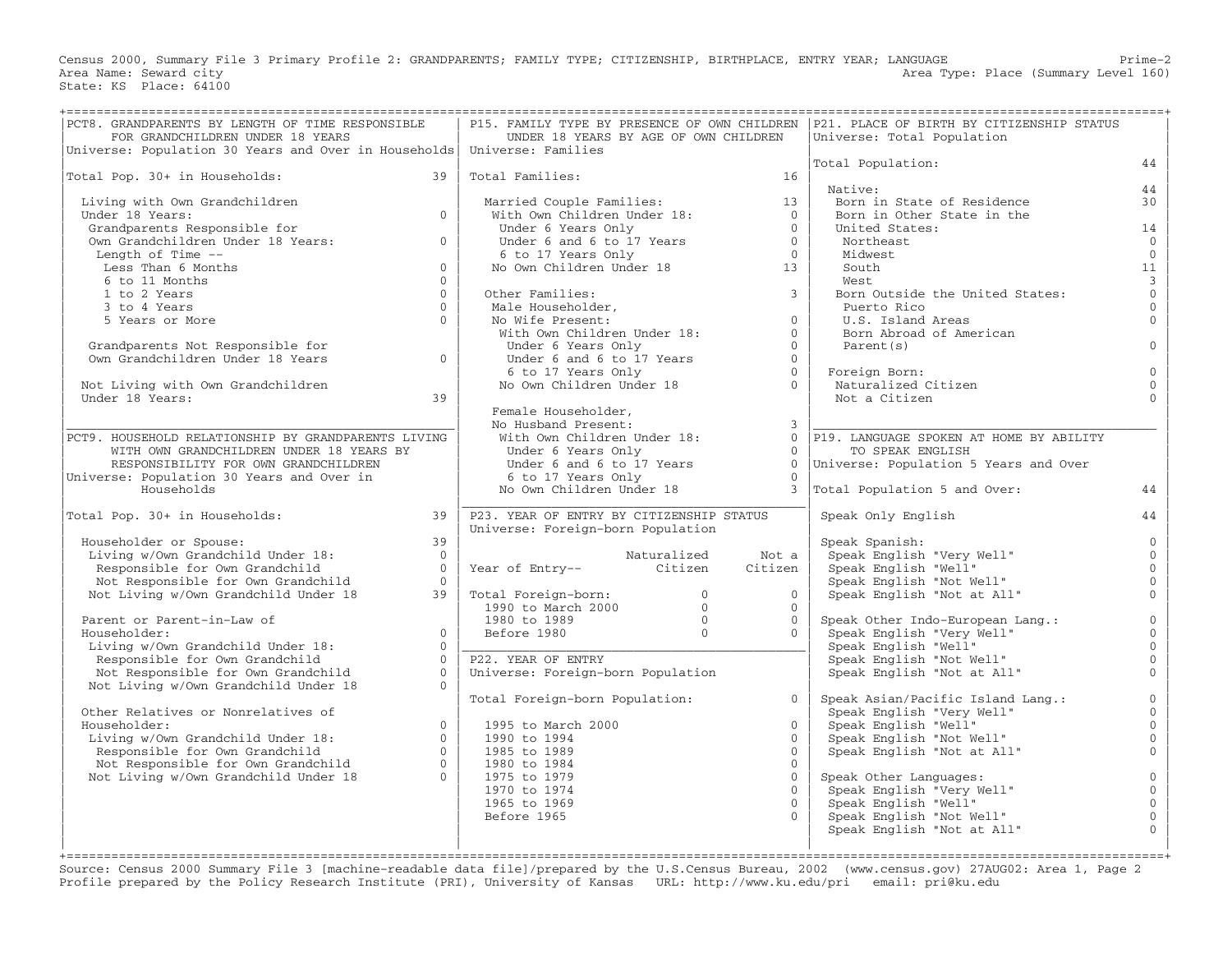Census 2000, Summary File 3 Primary Profile 2: GRANDPARENTS; FAMILY TYPE; CITIZENSHIP, BIRTHPLACE, ENTRY YEAR; LANGUAGE Prime−2 Area Name: Seward city and the seward city and the set of the set of the set of the Area Type: Place (Summary Level 160) State: KS Place: 64100

| PCT8. GRANDPARENTS BY LENGTH OF TIME RESPONSIBLE<br>FOR GRANDCHILDREN UNDER 18 YEARS                                                                                      |                | UNDER 18 YEARS BY AGE OF OWN CHILDREN                                                                                                                                                                                                                                                                              |                      | P15. FAMILY TYPE BY PRESENCE OF OWN CHILDREN   P21. PLACE OF BIRTH BY CITIZENSHIP STATUS<br>Universe: Total Population |                |
|---------------------------------------------------------------------------------------------------------------------------------------------------------------------------|----------------|--------------------------------------------------------------------------------------------------------------------------------------------------------------------------------------------------------------------------------------------------------------------------------------------------------------------|----------------------|------------------------------------------------------------------------------------------------------------------------|----------------|
| Universe: Population 30 Years and Over in Households   Universe: Families                                                                                                 |                |                                                                                                                                                                                                                                                                                                                    |                      | Total Population:                                                                                                      | 44             |
| Total Pop. 30+ in Households:                                                                                                                                             | 39             | Total Families:                                                                                                                                                                                                                                                                                                    | 16                   |                                                                                                                        |                |
|                                                                                                                                                                           |                |                                                                                                                                                                                                                                                                                                                    |                      | Native:                                                                                                                | 44             |
| Living with Own Grandchildren                                                                                                                                             |                |                                                                                                                                                                                                                                                                                                                    | 13                   | Born in State of Residence                                                                                             | 30             |
| Under 18 Years:                                                                                                                                                           | $\Omega$       | Married Couple Families:<br>With Own Children Under 18:<br>Under 6 Years Only                                                                                                                                                                                                                                      | $\overline{0}$       | Born in Other State in the                                                                                             |                |
| Grandparents Responsible for                                                                                                                                              |                |                                                                                                                                                                                                                                                                                                                    | $\bigcap$            | United States:                                                                                                         | 14             |
| Own Grandchildren Under 18 Years:                                                                                                                                         | $\Omega$       | Under 6 and 6 to 17 Years<br>6 to 17 Years<br>6 to 17 Years Only<br>No Own Children Under 18 13                                                                                                                                                                                                                    |                      | Northeast                                                                                                              | $\Omega$       |
| Length of Time --                                                                                                                                                         |                |                                                                                                                                                                                                                                                                                                                    |                      | Midwest                                                                                                                | $\overline{0}$ |
| Less Than 6 Months                                                                                                                                                        | $\Omega$       |                                                                                                                                                                                                                                                                                                                    |                      | South                                                                                                                  | 11             |
| 6 to 11 Months                                                                                                                                                            | $\Omega$       |                                                                                                                                                                                                                                                                                                                    |                      | West                                                                                                                   | $\overline{3}$ |
| 1 to 2 Years                                                                                                                                                              | $\Omega$       | Other Families:<br>Other Families:<br>Male Householder,<br>No Wife Present:<br>With Own Children Under 18:                                                                                                                                                                                                         | $\mathcal{E}$        | Born Outside the United States:                                                                                        | $\overline{0}$ |
| 3 to 4 Years                                                                                                                                                              | $\Omega$       |                                                                                                                                                                                                                                                                                                                    |                      | Puerto Rico                                                                                                            | $\mathbf{0}$   |
| 5 Years or More                                                                                                                                                           | $\Omega$       |                                                                                                                                                                                                                                                                                                                    | $\Omega$             | U.S. Island Areas                                                                                                      | $\Omega$       |
|                                                                                                                                                                           |                |                                                                                                                                                                                                                                                                                                                    | $\Omega$             | Born Abroad of American                                                                                                |                |
| Grandparents Not Responsible for<br>Own Grandchildren Under 18 Years                                                                                                      |                | Under 6 Years Only                                                                                                                                                                                                                                                                                                 | $\Omega$             | Parent(s)                                                                                                              | $\Omega$       |
|                                                                                                                                                                           | $\Omega$       |                                                                                                                                                                                                                                                                                                                    | $\Omega$             |                                                                                                                        |                |
|                                                                                                                                                                           |                | Under 6 and 6 to 17 Years<br>6 to 17 Years Only<br>No Own Children Under 18                                                                                                                                                                                                                                        | $\overline{0}$       | Foreign Born:                                                                                                          | $\mathbf{0}$   |
| Not Living with Own Grandchildren<br>Under 18 Years:                                                                                                                      |                |                                                                                                                                                                                                                                                                                                                    | $\Omega$             | Naturalized Citizen                                                                                                    | $\Omega$       |
|                                                                                                                                                                           | 39             |                                                                                                                                                                                                                                                                                                                    |                      | Not a Citizen                                                                                                          |                |
|                                                                                                                                                                           |                | Female Householder,<br>No Husband Present:                                                                                                                                                                                                                                                                         | $\mathcal{E}$        |                                                                                                                        |                |
| PCT9. HOUSEHOLD RELATIONSHIP BY GRANDPARENTS LIVING                                                                                                                       |                | Wo nusband filst<br>With Own Children Under 18:                                                                                                                                                                                                                                                                    |                      | 0 P19. LANGUAGE SPOKEN AT HOME BY ABILITY                                                                              |                |
| WITH OWN GRANDCHILDREN UNDER 18 YEARS BY                                                                                                                                  |                | Under 6 Years Only                                                                                                                                                                                                                                                                                                 | $\overline{0}$       | TO SPEAK ENGLISH                                                                                                       |                |
| RESPONSIBILITY FOR OWN GRANDCHILDREN                                                                                                                                      |                | $\frac{1}{2}$ of $\frac{1}{2}$ of $\frac{1}{2}$ of $\frac{1}{2}$ $\frac{1}{2}$ $\frac{1}{2}$ $\frac{1}{2}$ $\frac{1}{2}$ $\frac{1}{2}$ $\frac{1}{2}$ $\frac{1}{2}$ $\frac{1}{2}$ $\frac{1}{2}$ $\frac{1}{2}$ $\frac{1}{2}$ $\frac{1}{2}$ $\frac{1}{2}$ $\frac{1}{2}$ $\frac{1}{2}$ $\frac{1}{2}$ $\frac{1}{2}$ $\$ | $\Omega$             | Universe: Population 5 Years and Over                                                                                  |                |
| Universe: Population 30 Years and Over in                                                                                                                                 |                | 6 to 17 Years Only                                                                                                                                                                                                                                                                                                 |                      |                                                                                                                        |                |
| Households                                                                                                                                                                |                | No Own Children Under 18                                                                                                                                                                                                                                                                                           |                      | Total Population 5 and Over:                                                                                           | 44             |
|                                                                                                                                                                           |                |                                                                                                                                                                                                                                                                                                                    |                      |                                                                                                                        |                |
| Total Pop. 30+ in Households:                                                                                                                                             | 39             | P23. YEAR OF ENTRY BY CITIZENSHIP STATUS                                                                                                                                                                                                                                                                           |                      | Speak Only English                                                                                                     | 44             |
|                                                                                                                                                                           |                | Universe: Foreign-born Population                                                                                                                                                                                                                                                                                  |                      |                                                                                                                        |                |
| Householder or Spouse:<br>Householder or Spouse:<br>Living w/Own Grandchild Under 18:<br>Antila for Own Grandchild                                                        | 39             |                                                                                                                                                                                                                                                                                                                    |                      | Speak Spanish:                                                                                                         | $\mathbf{0}$   |
|                                                                                                                                                                           | $\bigcirc$     | Naturalized                                                                                                                                                                                                                                                                                                        | Not a                | Speak English "Very Well"<br>Speak English "Well"                                                                      | $\mathbf{0}$   |
|                                                                                                                                                                           | $\overline{0}$ | Year of Entry-- Citizen                                                                                                                                                                                                                                                                                            | Citizen              | Speak English "Well"                                                                                                   | $\overline{0}$ |
| Not Responsible for Own Grandchild                                                                                                                                        | $\bigcap$      |                                                                                                                                                                                                                                                                                                                    |                      | Speak English "Not Well"<br>Speak English "Not at All"                                                                 | $\mathbf{0}$   |
| Not Living w/Own Grandchild Under 18                                                                                                                                      | 39             | Total Foreign-born: 0<br>1990 to March 2000 0<br>1980 to 1989 0<br>Before 1980 0<br>The Theory Theory Theory Theory Theory Theory Theory Theory Theory Of Theory Of Theory Of Theory Of Theory Of Theory Of Theory Of Theory Of Theory                                                                             | $\Omega$             |                                                                                                                        | $\Omega$       |
|                                                                                                                                                                           |                |                                                                                                                                                                                                                                                                                                                    | $\Omega$<br>$\Omega$ |                                                                                                                        | $\overline{0}$ |
| Parent or Parent-in-Law of<br>Householder:                                                                                                                                | $\Omega$       |                                                                                                                                                                                                                                                                                                                    | $\Omega$             | Speak Other Indo-European Lang.:                                                                                       | $\Omega$       |
| Living w/Own Grandchild Under 18:                                                                                                                                         | $\Omega$       |                                                                                                                                                                                                                                                                                                                    |                      | Speak English "Very Well"<br>Speak English "Well"                                                                      | $\mathbf{0}$   |
| Responsible for Own Grandchild                                                                                                                                            | $\Omega$       | P22. YEAR OF ENTRY                                                                                                                                                                                                                                                                                                 |                      | Speak English "Not Well"<br>Speak English "Not at All"                                                                 | $\mathbf{0}$   |
| Not Responsible for Own Grandchild                                                                                                                                        | $\Omega$       | Universe: Foreign-born Population                                                                                                                                                                                                                                                                                  |                      |                                                                                                                        | $\Omega$       |
| Not Living w/Own Grandchild Under 18                                                                                                                                      | $\Omega$       |                                                                                                                                                                                                                                                                                                                    |                      |                                                                                                                        |                |
|                                                                                                                                                                           |                | Total Foreign-born Population:                                                                                                                                                                                                                                                                                     | $\Omega$             | Speak Asian/Pacific Island Lang.:                                                                                      | $\overline{0}$ |
| Other Relatives or Nonrelatives of                                                                                                                                        |                |                                                                                                                                                                                                                                                                                                                    |                      | Speak English "Very Well"                                                                                              | $\Omega$       |
| Householder:                                                                                                                                                              | $\Omega$       | 1995 to March 2000                                                                                                                                                                                                                                                                                                 | $\Omega$             | Speak English "Well"                                                                                                   | $\Omega$       |
|                                                                                                                                                                           |                | 1990 to 1994                                                                                                                                                                                                                                                                                                       | $\Omega$             |                                                                                                                        | $\mathbf{0}$   |
|                                                                                                                                                                           |                | 1985 to 1989                                                                                                                                                                                                                                                                                                       | $\cap$               | Speak English "Well"<br>Speak English "Not Well"<br>Speak English "Not at All"                                         | $\mathbf{0}$   |
| nous-contract.<br>Living w/Own Grandchild Under 18:<br>Responsible for Own Grandchild 0<br>Not Responsible for Own Grandchild 0<br>Not Living w/Own Grandchild Under 18 0 |                | 1980 to 1984                                                                                                                                                                                                                                                                                                       | $\Omega$             |                                                                                                                        |                |
|                                                                                                                                                                           |                | 1975 to 1979                                                                                                                                                                                                                                                                                                       |                      | Speak Other Languages:                                                                                                 | $\mathbf 0$    |
|                                                                                                                                                                           |                | 1970 to 1974                                                                                                                                                                                                                                                                                                       | $\cap$               | Speak English "Very Well"                                                                                              | $\mathbf{0}$   |
|                                                                                                                                                                           |                | 1965 to 1969                                                                                                                                                                                                                                                                                                       | $\Omega$             | Speak English "Well"                                                                                                   | $\mathbf{0}$   |
|                                                                                                                                                                           |                | Before 1965                                                                                                                                                                                                                                                                                                        |                      | Speak English "Not Well"<br>Speak English "Not at All"                                                                 | $\mathbf 0$    |
|                                                                                                                                                                           |                |                                                                                                                                                                                                                                                                                                                    |                      |                                                                                                                        | $\Omega$       |
|                                                                                                                                                                           |                |                                                                                                                                                                                                                                                                                                                    |                      |                                                                                                                        |                |

+===================================================================================================================================================+ Source: Census 2000 Summary File 3 [machine−readable data file]/prepared by the U.S.Census Bureau, 2002 (www.census.gov) 27AUG02: Area 1, Page 2 Profile prepared by the Policy Research Institute (PRI), University of Kansas URL: http://www.ku.edu/pri email: pri@ku.edu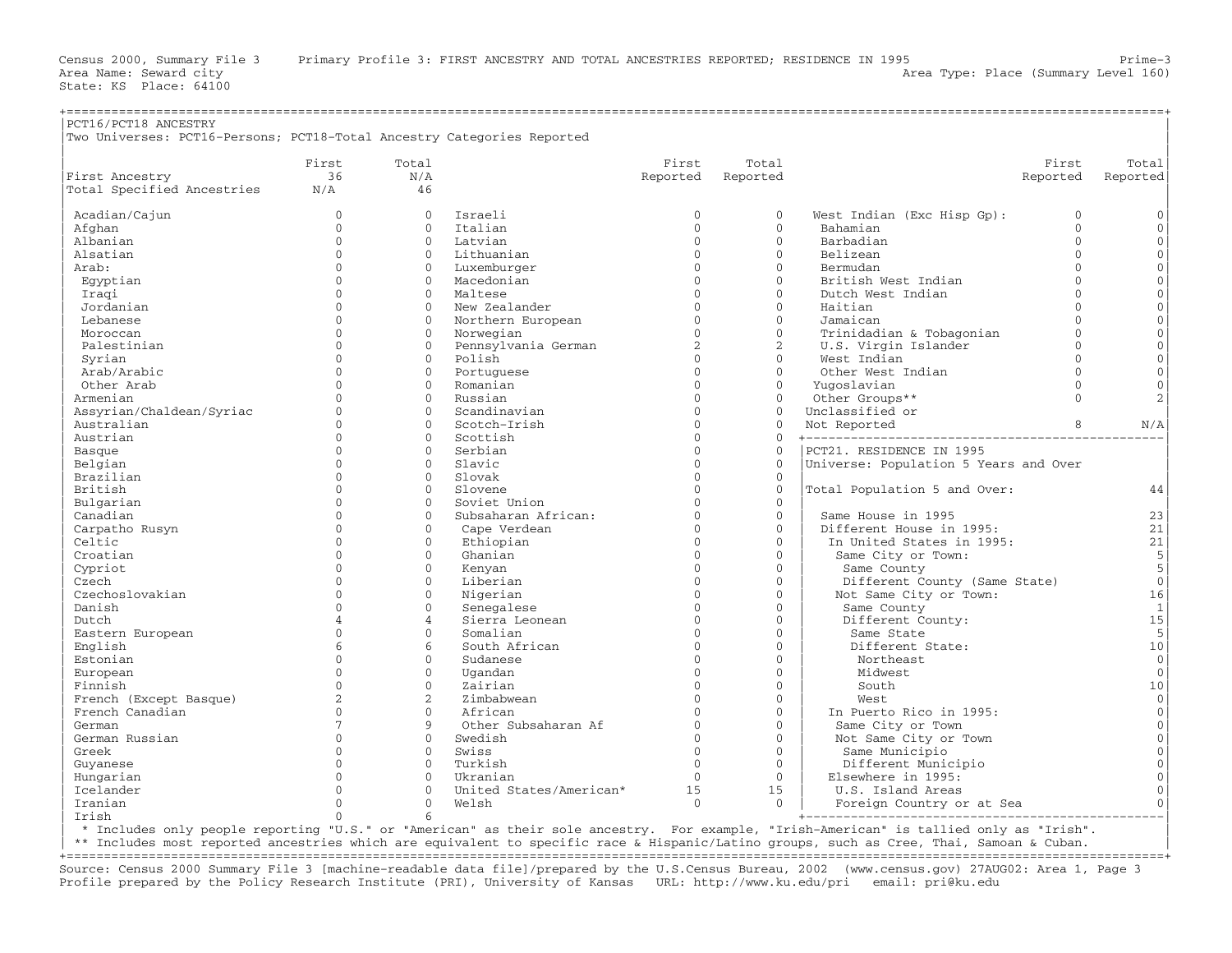| nm1c/n <sub>cm10</sub><br><b>AMCFCTDV</b><br>PCT167<br>.<br>-------------<br><u>ັ</u> |
|---------------------------------------------------------------------------------------|

|                            | First           | Total          |                              | First          | Total                |                                       | First    | Total          |
|----------------------------|-----------------|----------------|------------------------------|----------------|----------------------|---------------------------------------|----------|----------------|
| First Ancestry             | 36              | N/A            |                              | Reported       | Reported             |                                       | Reported | Reported       |
| Total Specified Ancestries | N/A             | 46             |                              |                |                      |                                       |          |                |
| Acadian/Cajun              | $\mathbf 0$     | $\mathbf 0$    | Israeli                      | $\mathbf{0}$   | $\mathbf{0}$         | West Indian (Exc Hisp Gp):            | $\Omega$ | $\mathbf{0}$   |
| Afghan                     | $\Omega$        | $\Omega$       | Italian                      | $\Omega$       | $\Omega$             | Bahamian                              | $\Omega$ | $\mathbf{0}$   |
| Albanian                   | $\Omega$        | $\Omega$       | Latvian                      | $\Omega$       | $\mathbf{0}$         | Barbadian                             | $\Omega$ | $\mathbf{0}$   |
| Alsatian                   | $\cap$          | $\Omega$       | Lithuanian                   | $\Omega$       | $\Omega$             | Belizean                              | $\Omega$ | $\Omega$       |
| Arab:                      | $\cap$          | $\Omega$       | Luxemburger                  | $\Omega$       | $\Omega$             | Bermudan                              | $\Omega$ | $\Omega$       |
| Eqyptian                   | $\cap$          | $\Omega$       | Macedonian                   | $\Omega$       | $\Omega$             | British West Indian                   | $\Omega$ | $\Omega$       |
| Iraqi                      | $\cap$          | $\Omega$       | Maltese                      | $\Omega$       | $\Omega$             | Dutch West Indian                     | $\Omega$ | $\Omega$       |
| Jordanian                  | $\Omega$        | $\Omega$       | New Zealander                | $\Omega$       | $\mathbf{0}$         | Haitian                               | $\Omega$ | $\Omega$       |
| Lebanese                   | $\cap$          | $\Omega$       | Northern European            | $\Omega$       | $\Omega$             | Jamaican                              | $\Omega$ | $\mathbf{0}$   |
| Moroccan                   | $\cap$          | $\mathbf{0}$   | Norwegian                    | $\Omega$       | $\mathbf{0}$         | Trinidadian & Tobagonian              | $\Omega$ | $\Omega$       |
| Palestinian                | $\cap$          | $\Omega$       | Pennsylvania German          | $\mathfrak{D}$ | $\overline{c}$       | U.S. Virgin Islander                  | $\Omega$ | $\Omega$       |
| Syrian                     | $\cap$          | $\mathbf{0}$   | Polish                       | $\Omega$       | $\Omega$             | West Indian                           | $\Omega$ | $\mathbf{0}$   |
| Arab/Arabic                | $\Omega$        | $\mathbf{0}$   | Portuguese                   | $\Omega$       | $\Omega$             | Other West Indian                     | $\Omega$ | $\Omega$       |
| Other Arab                 | $\cap$          | $\Omega$       | Romanian                     | $\Omega$       | $\Omega$             | Yugoslavian                           | $\Omega$ | $\mathbf{0}$   |
| Armenian                   | $\Omega$        | $\Omega$       | Russian                      | $\Omega$       | $\mathbf{0}$         | Other Groups**                        | $\Omega$ | $\mathbf{2}$   |
| Assyrian/Chaldean/Syriac   | $\cap$          | $\Omega$       | Scandinavian                 | $\Omega$       | $\Omega$             | Unclassified or                       |          |                |
| Australian                 | $\Omega$        | $\Omega$       | Scotch-Irish                 | $\Omega$       | $\Omega$             | Not Reported                          | 8        | N/A            |
| Austrian                   | $\Omega$        | $\Omega$       | Scottish                     | $\Omega$       | $\mathbf{0}$         | +----------------------------------   |          |                |
| Basque                     | $\cap$          | $\Omega$       | Serbian                      | $\Omega$       | $\Omega$             | PCT21. RESIDENCE IN 1995              |          |                |
| Belgian                    | $\Omega$        | $\Omega$       | Slavic                       | $\Omega$       | $\mathbf 0$          | Universe: Population 5 Years and Over |          |                |
| Brazilian                  | $\cap$          | $\Omega$       | Slovak                       | $\cap$         | $\Omega$             |                                       |          |                |
| British                    | $\cap$          | $\Omega$       | Slovene                      | $\Omega$       | $\Omega$             | Total Population 5 and Over:          |          | 44             |
| Bulgarian                  | $\cap$          | $\Omega$       | Soviet Union                 | $\cap$         | $\mathbf{0}$         |                                       |          |                |
| Canadian                   | $\cap$          | $\Omega$       | Subsaharan African:          | $\Omega$       | $\Omega$             | Same House in 1995                    |          | 23             |
| Carpatho Rusyn             | $\Omega$        | $\mathbf{0}$   | Cape Verdean                 | $\Omega$       | $\mathbf{0}$         | Different House in 1995:              |          | 21             |
| Celtic                     | $\Omega$        | $\Omega$       | Ethiopian                    | $\Omega$       | $\Omega$             | In United States in 1995:             |          | 21             |
| Croatian                   | $\cap$          | $\Omega$       | Ghanian                      | $\Omega$       | $\Omega$             | Same City or Town:                    |          | 5              |
| Cypriot                    | $\Omega$        | $\Omega$       | Kenyan                       | $\Omega$       | $\Omega$             | Same County                           |          | 5              |
| Czech                      | $\Omega$        | $\mathbf{0}$   | Liberian                     | $\Omega$       | $\Omega$             | Different County (Same State)         |          | $\mathbf{0}$   |
| Czechoslovakian            | $\Omega$        | $\mathbf{0}$   | Nigerian                     | $\Omega$       | $\mathbf{0}$         | Not Same City or Town:                |          | 16             |
| Danish                     | $\Omega$        | $\Omega$       |                              | $\Omega$       | $\mathbf{0}$         | Same County                           |          | $\mathbf{1}$   |
| Dutch                      | $\overline{4}$  | $\overline{4}$ | Senegalese<br>Sierra Leonean | $\Omega$       | $\Omega$             | Different County:                     |          | 15             |
| Eastern European           | $\Omega$        | $\Omega$       | Somalian                     | $\Omega$       | $\Omega$             | Same State                            |          | 5              |
| English                    | $\sqrt{2}$      | 6              | South African                | $\Omega$       | $\Omega$             | Different State:                      |          | 10             |
|                            | $\Omega$        | $\mathbf{0}$   |                              | $\Omega$       | $\mathbf{0}$         |                                       |          | $\mathbf{0}$   |
| Estonian                   | $\Omega$        | $\Omega$       | Sudanese                     | $\Omega$       | $\mathbf{0}$         | Northeast                             |          |                |
| European                   | $\Omega$        |                | Uqandan                      | $\Omega$       |                      | Midwest                               |          | $\mathbf{0}$   |
| Finnish                    |                 | $\Omega$       | Zairian                      | $\cap$         | $\Omega$<br>$\Omega$ | South                                 |          | 10<br>$\Omega$ |
| French (Except Basque)     | 2               | 2              | Zimbabwean                   |                |                      | West.                                 |          |                |
| French Canadian            | $\Omega$        | $\Omega$       | African                      | $\Omega$       | $\Omega$             | In Puerto Rico in 1995:               |          | $\Omega$       |
| German                     | $7\phantom{.0}$ | 9              | Other Subsaharan Af          | $\Omega$       | $\mathbf{0}$         | Same City or Town                     |          | $\mathbf{0}$   |
| German Russian             | $\Omega$        | $\mathbf{0}$   | Swedish                      | $\Omega$       | $\Omega$             | Not Same City or Town                 |          | $\mathbf{0}$   |
| Greek                      | $\Omega$        | $\Omega$       | Swiss                        | $\Omega$       | $\Omega$             | Same Municipio                        |          | $\Omega$       |
| Guyanese                   | $\cap$          | $\Omega$       | Turkish                      | $\Omega$       | $\Omega$             | Different Municipio                   |          | $\Omega$       |
| Hungarian                  | $\cap$          | $\Omega$       | Ukranian                     | $\Omega$       | $\Omega$             | Elsewhere in 1995:                    |          | $\Omega$       |
| Icelander                  |                 | $\Omega$       | United States/American*      | 15             | 15                   | U.S. Island Areas                     |          | $\Omega$       |
| Iranian                    | O               | $\mathbf{0}$   | Welsh                        | $\Omega$       | $\Omega$             | Foreign Country or at Sea             |          | $\Omega$       |
| Irish                      | $\Omega$        | 6              |                              |                |                      |                                       |          |                |

| \* Includes only people reporting "U.S." or "American" as their sole ancestry. For example, "Irish−American" is tallied only as "Irish". |

\*\* Includes most reported ancestries which are equivalent to specific race & Hispanic/Latino groups, such as Cree, Thai, Samoan & Cuban.

+===================================================================================================================================================+ Source: Census 2000 Summary File 3 [machine−readable data file]/prepared by the U.S.Census Bureau, 2002 (www.census.gov) 27AUG02: Area 1, Page 3 Profile prepared by the Policy Research Institute (PRI), University of Kansas URL: http://www.ku.edu/pri email: pri@ku.edu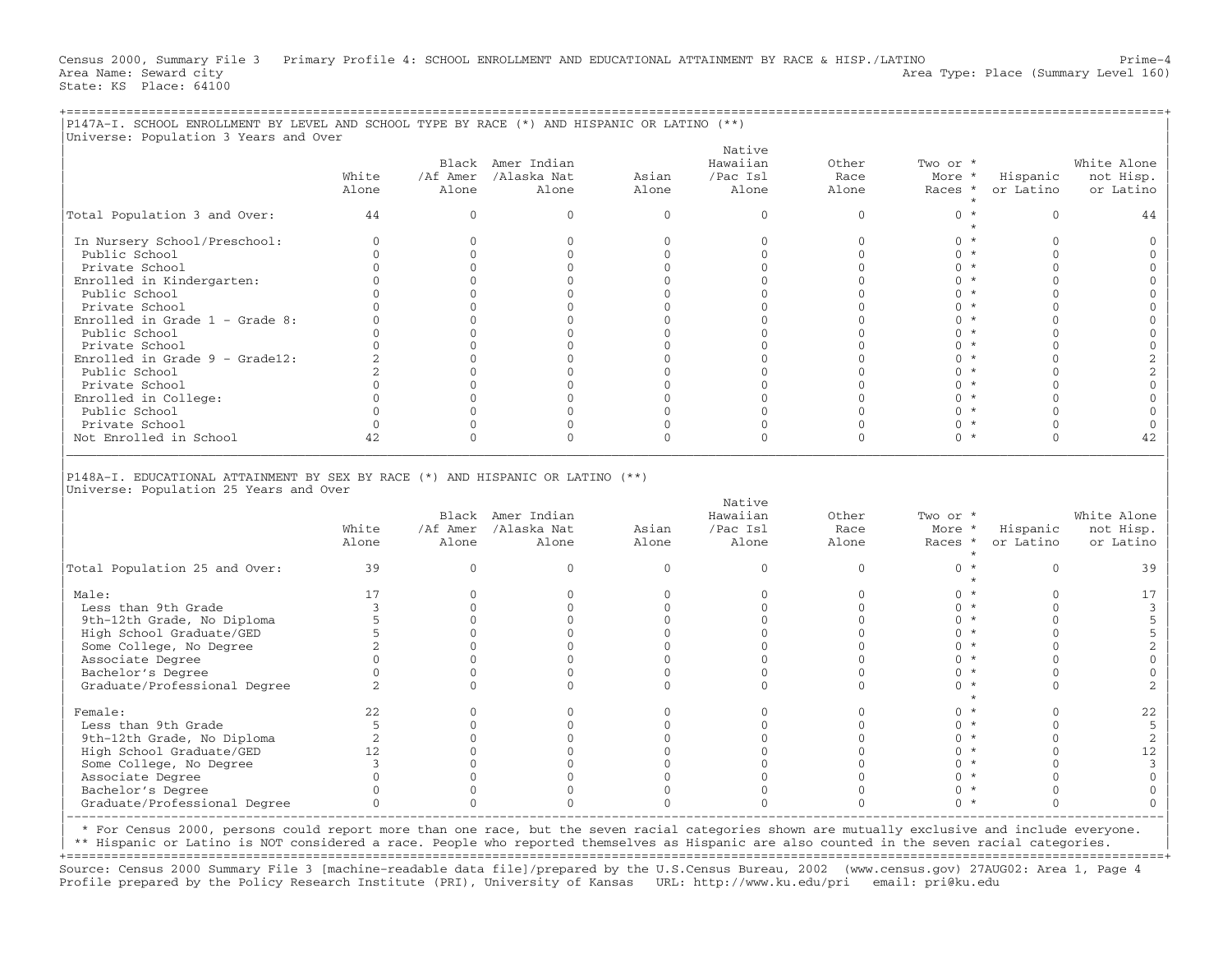Census 2000, Summary File 3 Primary Profile 4: SCHOOL ENROLLMENT AND EDUCATIONAL ATTAINMENT BY RACE & HISP./LATINO Prime−4 Area Name: Seward city and the Seward city and the Seward City Area Type: Place (Summary Level 160) State: KS Place: 64100

+===================================================================================================================================================+

|                                                                                                |                |                   | Black Amer Indian             |                | Native<br>Hawaiian | Other         | Two or *          |                       | White Alone                                                                                                                                                                                 |
|------------------------------------------------------------------------------------------------|----------------|-------------------|-------------------------------|----------------|--------------------|---------------|-------------------|-----------------------|---------------------------------------------------------------------------------------------------------------------------------------------------------------------------------------------|
|                                                                                                | White<br>Alone | Alone             | /Af Amer /Alaska Nat<br>Alone | Asian<br>Alone | /Pac Isl<br>Alone  | Race<br>Alone | More *<br>Races * | Hispanic<br>or Latino | not Hisp.<br>or Latino                                                                                                                                                                      |
| Total Population 3 and Over:                                                                   | 44             | $\mathbf{0}$      | $\mathbf{0}$                  | $\mathbf{0}$   | $\mathbf{0}$       | $\mathbf{0}$  | $0 *$<br>$\star$  | $\mathbf{0}$          | 44                                                                                                                                                                                          |
| In Nursery School/Preschool:                                                                   | $\Omega$       | $\Omega$          | $\Omega$                      | $\Omega$       | $\Omega$           | $\Omega$      | $0 *$             | $\Omega$              | $\mathbf{0}$                                                                                                                                                                                |
| Public School                                                                                  | $\Omega$       | $\Omega$          | $\mathbf{0}$                  | $\mathbf{0}$   | $\mathbf{0}$       | $\mathbf{0}$  | $0 *$             | $\Omega$              | $\mathbf 0$                                                                                                                                                                                 |
| Private School                                                                                 | $\Omega$       | $\mathbf{0}$      | $\Omega$                      | $\mathbf{0}$   | $\Omega$           | $\mathbf{0}$  | $0 *$             | $\Omega$              | $\mathbf 0$                                                                                                                                                                                 |
| Enrolled in Kindergarten:                                                                      | $\Omega$       | $\Omega$          | $\Omega$                      | $\mathbf{0}$   | $\Omega$           | $\Omega$      | $0 *$             | $\Omega$              | $\mathbf 0$                                                                                                                                                                                 |
| Public School                                                                                  | $\cap$         | $\Omega$          | $\cap$                        | $\Omega$       | $\Omega$           | $\Omega$      | $0 *$             | $\Omega$              | $\mathbf{0}$                                                                                                                                                                                |
| Private School                                                                                 | $\Omega$       | $\Omega$          | $\Omega$                      | $\Omega$       | $\Omega$           | $\Omega$      | $0 *$             | $\Omega$              | $\mathbf{0}$                                                                                                                                                                                |
| Enrolled in Grade $1$ - Grade 8:                                                               | $\Omega$       | $\Omega$          | $\mathbf{0}$                  | $\mathbf{0}$   | $\mathbf{0}$       | $\mathbf{0}$  | $0 *$             | $\Omega$              | $\mathbf 0$                                                                                                                                                                                 |
| Public School                                                                                  | $\Omega$       | $\Omega$          | $\Omega$                      | $\mathbf{0}$   | $\Omega$           | $\mathbf{0}$  | $0 *$             | $\Omega$              | $\mathbf 0$                                                                                                                                                                                 |
| Private School                                                                                 | $\Omega$       | $\Omega$          | $\Omega$                      | $\mathbf{0}$   | $\Omega$           | $\Omega$      | $0 *$             | $\Omega$              | $\mathbb O$                                                                                                                                                                                 |
| Enrolled in Grade $9 -$ Grade12:                                                               | $\overline{2}$ | $\Omega$          | $\Omega$                      | $\Omega$       | $\Omega$           | $\Omega$      | $0 *$             | $\Omega$              | $\sqrt{2}$                                                                                                                                                                                  |
| Public School                                                                                  | $\overline{2}$ | $\overline{0}$    | $\mathbf{0}$                  | $\mathbf{0}$   | $\mathbf{0}$       | $\mathbf{0}$  | $0 *$             | $\mathbf{0}$          | $\sqrt{2}$                                                                                                                                                                                  |
| Private School                                                                                 | $\Omega$       | $\mathbf{0}$      | $\mathbf{0}$                  | $\mathbf{0}$   | $\Omega$           | $\mathbf{0}$  | $0 *$             | $\Omega$              | $\mathbf 0$                                                                                                                                                                                 |
| Enrolled in College:                                                                           | $\Omega$       | $\Omega$          | $\Omega$                      | $\mathbf{0}$   | $\Omega$           | $\Omega$      | $0 *$             | $\Omega$              | $\mathbf 0$                                                                                                                                                                                 |
|                                                                                                | $\Omega$       | $\Omega$          | $\Omega$                      | $\Omega$       | $\Omega$           | $\Omega$      |                   | $\Omega$              |                                                                                                                                                                                             |
| Public School                                                                                  |                |                   |                               |                |                    |               | $0 *$             |                       | $\mathbf{0}$                                                                                                                                                                                |
| Private School                                                                                 | $\Omega$       | $\Omega$          | $\Omega$                      | $\Omega$       | $\Omega$           | $\Omega$      | $0 *$             | $\Omega$              | $\overline{0}$                                                                                                                                                                              |
| Not Enrolled in School                                                                         | 42             | $\mathbf 0$       | $\mathbf{0}$                  | $\mathbf{0}$   | $\Omega$           | $\mathbf{0}$  | $0 *$             | $\mathbf{0}$          | 42                                                                                                                                                                                          |
| P148A-I. EDUCATIONAL ATTAINMENT BY SEX BY RACE (*) AND HISPANIC OR LATINO (**)                 |                |                   |                               |                |                    |               |                   |                       |                                                                                                                                                                                             |
|                                                                                                |                |                   |                               |                | Native             |               |                   |                       |                                                                                                                                                                                             |
|                                                                                                |                |                   | Black Amer Indian             |                | Hawaiian           | Other         | Two or *          |                       |                                                                                                                                                                                             |
|                                                                                                | White<br>Alone | /Af Amer<br>Alone | /Alaska Nat<br>Alone          | Asian<br>Alone | /Pac Isl<br>Alone  | Race<br>Alone | More *<br>Races * | Hispanic<br>or Latino |                                                                                                                                                                                             |
|                                                                                                | 39             | $\overline{0}$    | $\mathbf{0}$                  | $\mathbf{0}$   | $\mathbf{0}$       | $\mathbf{0}$  | $\star$<br>$0 *$  | $\mathbf{0}$          |                                                                                                                                                                                             |
| Male:                                                                                          | 17             | $\Omega$          | $\Omega$                      | $\mathbf{0}$   | $\Omega$           | $\mathbf{0}$  | $\star$<br>$0 *$  | $\Omega$              |                                                                                                                                                                                             |
| Universe: Population 25 Years and Over<br>Total Population 25 and Over:<br>Less than 9th Grade | 3              | $\Omega$          | $\Omega$                      | $\mathbf{0}$   | $\Omega$           | $\Omega$      | $0 *$             | $\Omega$              |                                                                                                                                                                                             |
| 9th-12th Grade, No Diploma                                                                     | 5              | $\Omega$          | $\Omega$                      | $\Omega$       | $\Omega$           | $\Omega$      | $0 *$             | $\Omega$              |                                                                                                                                                                                             |
|                                                                                                | 5              | $\Omega$          | $\Omega$                      | $\mathbf{0}$   | $\Omega$           | $\mathbf{0}$  | $0 *$             | $\Omega$              |                                                                                                                                                                                             |
| High School Graduate/GED                                                                       |                | $\Omega$          | $\Omega$                      | $\Omega$       | $\Omega$           | $\Omega$      | $0 *$             | $\Omega$              |                                                                                                                                                                                             |
| Some College, No Degree                                                                        | $\overline{2}$ |                   |                               |                |                    |               |                   |                       |                                                                                                                                                                                             |
| Associate Degree                                                                               | $\Omega$       | $\Omega$          | $\Omega$                      | $\Omega$       | $\Omega$           | $\Omega$      | $0 *$             | $\Omega$              |                                                                                                                                                                                             |
| Bachelor's Degree                                                                              | $\Omega$       | $\mathbf{0}$      | $\Omega$                      | $\mathbf{0}$   | $\Omega$           | $\mathbf{0}$  | $0 *$             | $\Omega$              |                                                                                                                                                                                             |
| Graduate/Professional Degree                                                                   | 2              | $\Omega$          | $\Omega$                      | $\Omega$       | $\Omega$           | $\Omega$      | $0 *$<br>$\star$  | $\Omega$              |                                                                                                                                                                                             |
| Female:                                                                                        | 22             | $\mathbf{0}$      | $\Omega$                      | $\mathbf{0}$   | $\Omega$           | $\mathbf{0}$  | $0 *$             | $\Omega$              |                                                                                                                                                                                             |
| Less than 9th Grade                                                                            | -5             | $\mathbf{0}$      | $\mathbf{0}$                  | $\mathbf{0}$   | $\mathbf{0}$       | $\mathbf{0}$  | $0 *$             | $\Omega$              |                                                                                                                                                                                             |
| 9th-12th Grade, No Diploma                                                                     | 2              | $\Omega$          | $\Omega$                      | $\mathbf{0}$   | $\Omega$           | $\Omega$      | $0 *$             | $\Omega$              |                                                                                                                                                                                             |
| High School Graduate/GED                                                                       | 12             | $\Omega$          | $\Omega$                      | $\Omega$       | $\Omega$           | $\Omega$      | $0 *$             | $\Omega$              |                                                                                                                                                                                             |
| Some College, No Degree                                                                        | $\overline{3}$ | $\Omega$          | $\Omega$                      | $\mathbf{0}$   | $\Omega$           | $\Omega$      | $0 *$             | $\Omega$              |                                                                                                                                                                                             |
|                                                                                                | $\Omega$       | $\mathbf{0}$      | $\Omega$                      | $\mathbf{0}$   | $\mathbf{0}$       | $\mathbf{0}$  | $0 *$             | $\Omega$              | White Alone<br>not Hisp.<br>or Latino<br>39<br>17<br>$\mathbf{3}$<br>5<br>5<br>$\overline{a}$<br>$\mathbf{0}$<br>$\mathbf 0$<br>2<br>22<br>5<br>2<br>12<br>$\overline{3}$<br>$\overline{0}$ |
| Associate Degree<br>Bachelor's Degree                                                          | $\Omega$       | $\mathbf{0}$      | $\mathbf{0}$                  | $\mathbf{0}$   | $\mathbf{0}$       | $\Omega$      | $0 *$             | $\Omega$              | $\overline{0}$                                                                                                                                                                              |

| \* For Census 2000, persons could report more than one race, but the seven racial categories shown are mutually exclusive and include everyone. |

| \*\* Hispanic or Latino is NOT considered a race. People who reported themselves as Hispanic are also counted in the seven racial categories. |

+===================================================================================================================================================+ Source: Census 2000 Summary File 3 [machine−readable data file]/prepared by the U.S.Census Bureau, 2002 (www.census.gov) 27AUG02: Area 1, Page 4 Profile prepared by the Policy Research Institute (PRI), University of Kansas URL: http://www.ku.edu/pri email: pri@ku.edu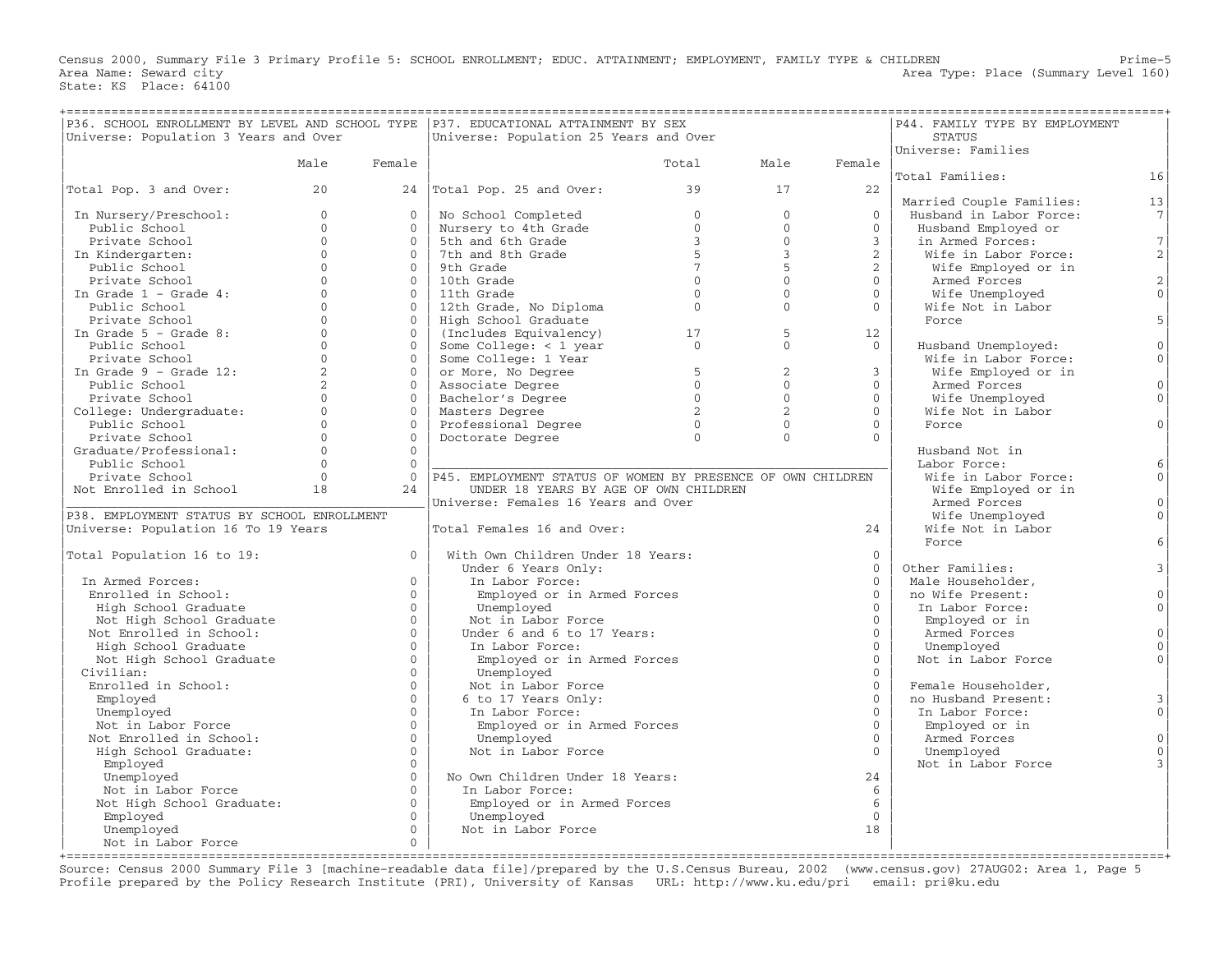Census 2000, Summary File 3 Primary Profile 5: SCHOOL ENROLLMENT; EDUC. ATTAINMENT; EMPLOYMENT, FAMILY TYPE & CHILDREN Prime−5<br>Area Type: Place (Summary Level 160) Area Type: Place (Summary Level 160) State: KS Place: 64100

| =================================<br>P36. SCHOOL ENROLLMENT BY LEVEL AND SCHOOL TYPE   P37. EDUCATIONAL ATTAINMENT BY SEX<br>Universe: Population 3 Years and Over |                      |                      | Universe: Population 25 Years and Over                                                                                                       | ;================                      |                   |                      | ===================<br>P44. FAMILY TYPE BY EMPLOYMENT<br><b>STATUS</b> |                |
|--------------------------------------------------------------------------------------------------------------------------------------------------------------------|----------------------|----------------------|----------------------------------------------------------------------------------------------------------------------------------------------|----------------------------------------|-------------------|----------------------|------------------------------------------------------------------------|----------------|
|                                                                                                                                                                    |                      |                      |                                                                                                                                              |                                        |                   |                      | Universe: Families                                                     |                |
|                                                                                                                                                                    | Male                 | Female               |                                                                                                                                              | Total                                  | Male              | Female               |                                                                        |                |
|                                                                                                                                                                    |                      |                      |                                                                                                                                              |                                        |                   |                      | Total Families:                                                        | 16             |
| Total Pop. 3 and Over:                                                                                                                                             | 20                   |                      | 24 Total Pop. 25 and Over:                                                                                                                   | 39                                     | 17                | 22                   |                                                                        |                |
|                                                                                                                                                                    |                      |                      |                                                                                                                                              |                                        |                   |                      | Married Couple Families:                                               | 13             |
| In Nursery/Preschool:                                                                                                                                              | $\Omega$             | $\Omega$             | No School Completed<br>Nursery to 4th Grade<br>5th and 6th Grade<br>7th and 8th Grade<br>9th Crist                                           | $\overline{0}$                         | $\mathbf{0}$      | $\Omega$             | Husband in Labor Force:                                                | 7              |
| Public School                                                                                                                                                      | $\Omega$             | $\Omega$             |                                                                                                                                              | $\overline{0}$                         | $\Omega$          | $\Omega$             | Husband Employed or                                                    |                |
| Private School                                                                                                                                                     | $\Omega$             | $\Omega$             |                                                                                                                                              | $\overline{3}$                         | $\Omega$          | $\mathcal{E}$        | in Armed Forces:                                                       | 7              |
| In Kindergarten:                                                                                                                                                   | $\Omega$             | $\Omega$             |                                                                                                                                              | 5                                      | $\overline{3}$    | $\overline{2}$       | Wife in Labor Force:                                                   | 2              |
| Public School                                                                                                                                                      | $\Omega$<br>$\Omega$ | $\Omega$             | 9th Grade                                                                                                                                    | $\overline{7}$<br>$\Omega$             | 5<br>$\Omega$     | 2                    | Wife Employed or in                                                    |                |
| Private School                                                                                                                                                     | $\Omega$             | $\Omega$<br>$\Omega$ | 10th Grade                                                                                                                                   |                                        | $\Omega$          | $\Omega$<br>$\Omega$ | Armed Forces                                                           | 2              |
| In Grade $1$ - Grade $4$ :                                                                                                                                         | $\Omega$             | $\Omega$             | 11th Grade                                                                                                                                   | $\Omega$<br>$\overline{0}$             | $\Omega$          | $\Omega$             | Wife Unemployed                                                        | $\overline{0}$ |
| Public School                                                                                                                                                      | $\Omega$             |                      | 12th Grade, No Diploma                                                                                                                       |                                        |                   |                      | Wife Not in Labor                                                      | 5 <sup>1</sup> |
| Private School<br>In Grade $5$ - Grade $8$ :                                                                                                                       | $\Omega$             | $\Omega$<br>$\Omega$ | High School Graduate                                                                                                                         |                                        |                   |                      | Force                                                                  |                |
|                                                                                                                                                                    | $\Omega$             | $\Omega$             | (Includes Equivalency)                                                                                                                       | $\begin{array}{c} 17 \\ 0 \end{array}$ | 5<br>$\mathbf{0}$ | 12<br>$\Omega$       |                                                                        | $\overline{0}$ |
| Public School                                                                                                                                                      | $\Omega$             | $\Omega$             | Some College: < 1 year<br>Some College: < 1 year<br>Some College: 1 Year<br>or More, No Degree<br>Associate Degree<br>Bachelor's Degree<br>0 |                                        |                   |                      | Husband Unemployed:<br>Wife in Labor Force:                            | $\circ$        |
| Private School<br>Drivate School<br>In Grade 9 - Grade 12:                                                                                                         | 2                    | $\Omega$             |                                                                                                                                              |                                        | 2                 | $\mathbf{3}$         | Wife Employed or in                                                    |                |
|                                                                                                                                                                    | $\overline{2}$       | $\Omega$             |                                                                                                                                              |                                        | $\Omega$          | $\Omega$             |                                                                        | $\circ$        |
| Public School                                                                                                                                                      | $\Omega$             | $\Omega$             |                                                                                                                                              | $\overline{0}$                         | $\Omega$          | $\Omega$             | Armed Forces                                                           | $\Omega$       |
| Private School<br>College: Undergraduate:                                                                                                                          | $\Omega$             | $\Omega$             | Bachelor's Degree                                                                                                                            | $\overline{2}$                         | $\overline{2}$    | $\Omega$             | Wife Unemployed                                                        |                |
| Public School                                                                                                                                                      | $\Omega$             | $\Omega$             | Masters Degree                                                                                                                               |                                        | $\Omega$          | $\Omega$             | Wife Not in Labor<br>Force                                             | $\mathbf{O}$   |
| Private School                                                                                                                                                     | $\Omega$             | $\Omega$             | Professional Degree 0<br>Doctorate Degree 0<br>Doctorate Degree                                                                              |                                        | $\Omega$          | $\Omega$             |                                                                        |                |
| Graduate/Professional:                                                                                                                                             | $\Omega$             | $\Omega$             |                                                                                                                                              |                                        |                   |                      | Husband Not in                                                         |                |
| Public School                                                                                                                                                      | $\Omega$             | $\Omega$             |                                                                                                                                              |                                        |                   |                      | Labor Force:                                                           | $6\,$          |
| Private School                                                                                                                                                     | $\Omega$             | $\Omega$             | P45. EMPLOYMENT STATUS OF WOMEN BY PRESENCE OF OWN CHILDREN                                                                                  |                                        |                   |                      | Wife in Labor Force:                                                   | $\Omega$       |
| Not Enrolled in School                                                                                                                                             | 18                   | 24                   | UNDER 18 YEARS BY AGE OF OWN CHILDREN                                                                                                        |                                        |                   |                      | Wife Employed or in                                                    |                |
|                                                                                                                                                                    |                      |                      | Universe: Females 16 Years and Over                                                                                                          |                                        |                   |                      | Armed Forces                                                           | $\circ$        |
| P38. EMPLOYMENT STATUS BY SCHOOL ENROLLMENT                                                                                                                        |                      |                      |                                                                                                                                              |                                        |                   |                      | Wife Unemployed                                                        | $\Omega$       |
| Universe: Population 16 To 19 Years                                                                                                                                |                      |                      | Total Females 16 and Over:                                                                                                                   |                                        |                   | 24                   | Wife Not in Labor                                                      |                |
|                                                                                                                                                                    |                      |                      |                                                                                                                                              |                                        |                   |                      | Force                                                                  | 6              |
| Total Population 16 to 19:                                                                                                                                         |                      | $\Omega$             | With Own Children Under 18 Years:                                                                                                            |                                        |                   | $\Omega$             |                                                                        |                |
|                                                                                                                                                                    |                      |                      | Under 6 Years Only:                                                                                                                          |                                        |                   | $\Omega$             | Other Families:                                                        | 3              |
| In Armed Forces:                                                                                                                                                   |                      | $\Omega$             | In Labor Force:                                                                                                                              |                                        |                   | $\Omega$             | Male Householder,                                                      |                |
| Enrolled in School:                                                                                                                                                |                      | $\Omega$             | Employed or in Armed Forces                                                                                                                  |                                        |                   | $\Omega$             | no Wife Present:                                                       | $\mathbf{0}$   |
| High School Graduate                                                                                                                                               |                      | $\Omega$             | Unemployed                                                                                                                                   |                                        |                   | $\Omega$             | In Labor Force:                                                        | $\circ$        |
| Not High School Graduate                                                                                                                                           |                      | $\Omega$             | Not in Labor Force                                                                                                                           |                                        |                   | $\Omega$             | Employed or in                                                         |                |
| Not Enrolled in School:                                                                                                                                            |                      | $\Omega$             | Under 6 and 6 to 17 Years:                                                                                                                   |                                        |                   | $\Omega$             | Armed Forces                                                           | $\mathbf{0}$   |
| High School Graduate                                                                                                                                               |                      | $\Omega$             | In Labor Force:                                                                                                                              |                                        |                   | $\mathbf{0}$         | Unemployed                                                             | $\mathbf{0}$   |
| Not High School Graduate                                                                                                                                           |                      | $\Omega$             | Employed or in Armed Forces                                                                                                                  |                                        |                   | $\Omega$             | Not in Labor Force                                                     | $\mathbf{0}$   |
| Civilian:                                                                                                                                                          |                      | $\Omega$             | Unemployed                                                                                                                                   |                                        |                   | $\Omega$             |                                                                        |                |
| Enrolled in School:                                                                                                                                                |                      | $\Omega$             | Not in Labor Force                                                                                                                           |                                        |                   | $\Omega$             | Female Householder,                                                    |                |
| Employed                                                                                                                                                           |                      | $\mathbf{0}$         | 6 to 17 Years Only:                                                                                                                          |                                        |                   | $\Omega$             | no Husband Present:                                                    | 3              |
| Unemployed                                                                                                                                                         |                      | $\Omega$             | In Labor Force:                                                                                                                              |                                        |                   | $\Omega$             | In Labor Force:                                                        | $\circ$        |
| Not in Labor Force                                                                                                                                                 |                      | $\Omega$             | Employed or in Armed Forces                                                                                                                  |                                        |                   | $\Omega$             | Employed or in                                                         |                |
| Not Enrolled in School:                                                                                                                                            |                      | $\mathbf{0}$         | Unemployed                                                                                                                                   |                                        |                   | $\Omega$             | Armed Forces                                                           | $\mathbf{0}$   |
| High School Graduate:                                                                                                                                              |                      | $\Omega$             | Not in Labor Force                                                                                                                           |                                        |                   | $\Omega$             | Unemployed                                                             | $\Omega$       |
| Employed                                                                                                                                                           |                      | $\Omega$             |                                                                                                                                              |                                        |                   |                      | Not in Labor Force                                                     |                |
| Unemployed                                                                                                                                                         |                      | $\Omega$             | No Own Children Under 18 Years:                                                                                                              |                                        |                   | 24                   |                                                                        |                |
| Not in Labor Force                                                                                                                                                 |                      | $\Omega$             | In Labor Force:                                                                                                                              |                                        |                   | 6                    |                                                                        |                |
| Not High School Graduate:                                                                                                                                          |                      | $\Omega$             | Employed or in Armed Forces                                                                                                                  |                                        |                   | 6                    |                                                                        |                |
| Employed                                                                                                                                                           |                      | $\Omega$             | Unemployed                                                                                                                                   |                                        |                   | $\mathbf{0}$         |                                                                        |                |
| Unemployed                                                                                                                                                         |                      | $\Omega$             | Not in Labor Force                                                                                                                           |                                        |                   | 18                   |                                                                        |                |
| Not in Labor Force                                                                                                                                                 |                      | $\circ$              |                                                                                                                                              |                                        |                   |                      |                                                                        |                |

+===================================================================================================================================================+ Source: Census 2000 Summary File 3 [machine−readable data file]/prepared by the U.S.Census Bureau, 2002 (www.census.gov) 27AUG02: Area 1, Page 5 Profile prepared by the Policy Research Institute (PRI), University of Kansas URL: http://www.ku.edu/pri email: pri@ku.edu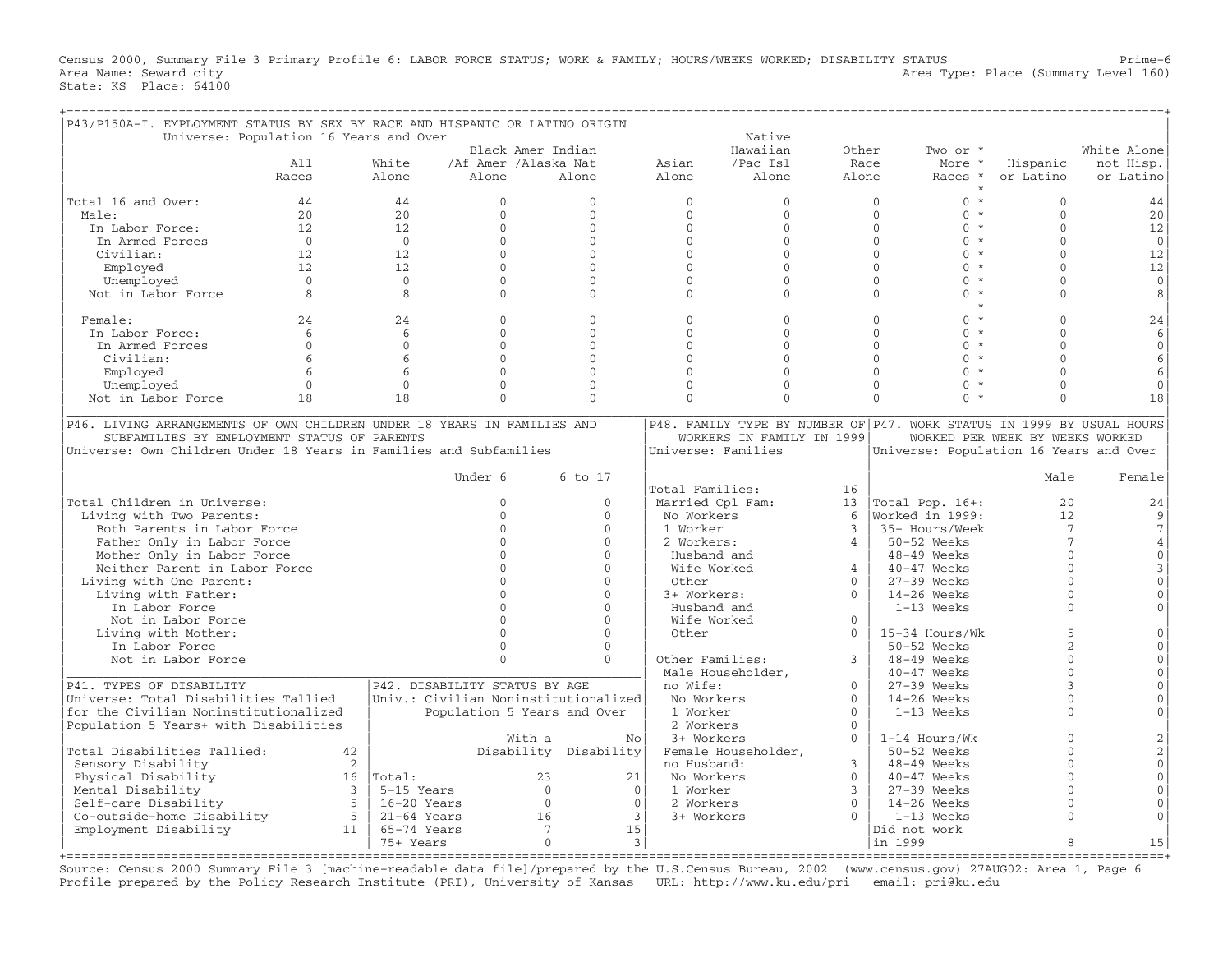Census 2000, Summary File 3 Primary Profile 6: LABOR FORCE STATUS; WORK & FAMILY; HOURS/WEEKS WORKED; DISABILITY STATUS Prime-6<br>Area Name: Seward city Area Type: Place (Summary Level 160) State: KS Place: 64100

| P43/P150A-I. EMPLOYMENT STATUS BY SEX BY RACE AND HISPANIC OR LATINO ORIGIN |                |                |                                        |                      |                   |                             |                |                           |                |                                                                       |                                 |                                   |
|-----------------------------------------------------------------------------|----------------|----------------|----------------------------------------|----------------------|-------------------|-----------------------------|----------------|---------------------------|----------------|-----------------------------------------------------------------------|---------------------------------|-----------------------------------|
|                                                                             |                |                | Universe: Population 16 Years and Over |                      |                   |                             |                | Native                    |                |                                                                       |                                 |                                   |
|                                                                             |                |                |                                        |                      | Black Amer Indian |                             |                | Hawaiian                  | Other          | Two or *                                                              |                                 | White Alone                       |
|                                                                             | A11            |                | White                                  | /Af Amer /Alaska Nat |                   |                             | Asian          | /Pac Isl                  |                | Race<br>More *                                                        | Hispanic                        | not Hisp.                         |
|                                                                             | Races          |                | Alone                                  | Alone                |                   | Alone                       | Alone          | Alone                     | Alone          | Races *                                                               | or Latino                       | or Latino                         |
|                                                                             |                |                |                                        |                      |                   |                             |                |                           |                |                                                                       |                                 |                                   |
| Total 16 and Over:                                                          | 44             |                | 44                                     | $\overline{0}$       |                   | $\mathbf{0}$                | $\mathbf{0}$   |                           | $\mathbf{0}$   | $\mathbf{0}$                                                          | $0 *$<br>$\Omega$               | 44                                |
| Male:                                                                       | 2.0            |                | 2.0                                    | $\Omega$             |                   | $\Omega$                    | $\Omega$       |                           | $\Omega$       | $\mathbf{O}$                                                          | $0 *$<br>$\Omega$               | 20                                |
| In Labor Force:                                                             | 12.            |                | 12                                     | $\Omega$             |                   | $\Omega$                    | $\Omega$       |                           | $\Omega$       | $\Omega$                                                              | $0 *$<br>$\Omega$               | 12                                |
| In Armed Forces                                                             | $\overline{0}$ |                | $\overline{0}$                         | $\Omega$             |                   | $\mathbf{0}$                | $\mathbf{0}$   |                           | $\mathbf{0}$   | $\mathbf{0}$                                                          | $0 *$<br>$\Omega$               | $\mathbb O$                       |
| Civilian:                                                                   | 12.            |                | 12                                     | $\Omega$             |                   | $\Omega$                    | $\Omega$       |                           | $\Omega$       | $\Omega$                                                              | $0 *$<br>$\Omega$               | 12                                |
| Employed                                                                    | 12.            |                | 12                                     | $\Omega$             |                   | $\Omega$                    | $\Omega$       |                           | $\Omega$       | $\Omega$                                                              | $0 *$<br>$\Omega$               | 12                                |
|                                                                             | $\Omega$       |                | $\overline{0}$                         | $\mathbf{0}$         |                   | $\mathbf 0$                 | $\Omega$       |                           | $\Omega$       | $\Omega$                                                              | $0 *$<br>$\Omega$               | $\mathbf 0$                       |
| Unemployed                                                                  | 8              |                | 8                                      | $\Omega$             |                   | $\Omega$                    | $\Omega$       |                           | $\Omega$       | $\Omega$<br>$\Omega$                                                  | $\star$<br>$\cap$               |                                   |
| Not in Labor Force                                                          |                |                |                                        |                      |                   |                             |                |                           |                |                                                                       | $\star$                         | 8                                 |
|                                                                             |                |                |                                        |                      |                   |                             |                |                           |                |                                                                       | $0 *$                           |                                   |
| Female:                                                                     | 24             |                | 24                                     | $\Omega$             |                   | $\Omega$                    | $\Omega$       |                           | $\mathbf{0}$   | $\mathbf{0}$                                                          | $\Omega$                        | 24                                |
| In Labor Force:                                                             | 6              |                | 6                                      | $\Omega$             |                   | $\Omega$                    | $\Omega$       |                           | $\Omega$       | $\Omega$                                                              | $0 *$<br>$\Omega$               | 6                                 |
| In Armed Forces                                                             | $\Omega$       |                | $\Omega$                               | $\Omega$             |                   | $\Omega$                    | $\Omega$       |                           | $\Omega$       | $\Omega$                                                              | $0 *$<br>$\Omega$               | $\Omega$                          |
| Civilian:                                                                   | 6              |                | 6                                      | $\Omega$             |                   | $\Omega$                    | $\Omega$       |                           | $\Omega$       | $\Omega$                                                              | $0 *$<br>$\Omega$               | 6                                 |
| Employed                                                                    | 6              |                | 6                                      | $\Omega$             |                   | $\Omega$                    | $\Omega$       |                           | $\Omega$       | $\Omega$                                                              | $0 *$<br>$\Omega$               | 6                                 |
| Unemployed                                                                  | $\mathbf{0}$   |                | $\mathbf{0}$                           | $\mathbf{0}$         |                   | $\mathbf 0$                 | $\mathbf{0}$   |                           | $\mathbf{0}$   | $\mathbf{0}$<br>$\mathbf{0}$                                          | $\Omega$<br>$\star$             | $\mathbf{0}$                      |
| Not in Labor Force                                                          | 18             |                | 18                                     | $\Omega$             |                   | $\Omega$                    | $\Omega$       |                           | $\Omega$       | $\Omega$                                                              | $0 *$<br>$\Omega$               | 18                                |
|                                                                             |                |                |                                        |                      |                   |                             |                |                           |                |                                                                       |                                 |                                   |
| P46. LIVING ARRANGEMENTS OF OWN CHILDREN UNDER 18 YEARS IN FAMILIES AND     |                |                |                                        |                      |                   |                             |                |                           |                | P48. FAMILY TYPE BY NUMBER OF P47. WORK STATUS IN 1999 BY USUAL HOURS |                                 |                                   |
| SUBFAMILIES BY EMPLOYMENT STATUS OF PARENTS                                 |                |                |                                        |                      |                   |                             |                | WORKERS IN FAMILY IN 1999 |                |                                                                       | WORKED PER WEEK BY WEEKS WORKED |                                   |
| Universe: Own Children Under 18 Years in Families and Subfamilies           |                |                |                                        |                      |                   |                             |                | Universe: Families        |                | Universe: Population 16 Years and Over                                |                                 |                                   |
|                                                                             |                |                |                                        |                      |                   |                             |                |                           |                |                                                                       |                                 |                                   |
|                                                                             |                |                |                                        | Under 6              |                   | 6 to 17                     |                |                           |                |                                                                       | Male                            | Female                            |
|                                                                             |                |                |                                        |                      |                   |                             |                | Total Families:           | 16             |                                                                       |                                 |                                   |
|                                                                             |                |                |                                        |                      |                   |                             |                |                           |                |                                                                       |                                 |                                   |
| Total Children in Universe:                                                 |                |                |                                        | $\Omega$             |                   | $\mathbf{0}$                |                | Married Cpl Fam:          | 13             | Total Pop. $16+:$                                                     |                                 | 20<br>24                          |
| Living with Two Parents:                                                    |                |                |                                        | $\Omega$             |                   | $\Omega$                    |                | No Workers                | 6              | Worked in 1999:                                                       |                                 | 12<br>9                           |
| Both Parents in Labor Force                                                 |                |                |                                        | $\Omega$             |                   | $\Omega$                    | 1 Worker       |                           | 3              | 35+ Hours/Week                                                        |                                 | $\overline{7}$<br>$7\phantom{.0}$ |
| Father Only in Labor Force                                                  |                |                |                                        | $\Omega$             |                   | $\Omega$                    |                | 2 Workers:                | $\overline{4}$ | 50-52 Weeks                                                           |                                 | $\overline{7}$<br>$\overline{4}$  |
| Mother Only in Labor Force                                                  |                |                |                                        | $\Omega$             |                   | $\Omega$                    |                | Husband and               |                | 48-49 Weeks                                                           |                                 | $\Omega$<br>$\Omega$              |
| Neither Parent in Labor Force                                               |                |                |                                        | $\Omega$             |                   | $\Omega$                    |                | Wife Worked               | $\overline{4}$ | $40 - 47$ Weeks                                                       |                                 | $\Omega$<br>3                     |
| Living with One Parent:                                                     |                |                |                                        | $\Omega$             |                   | $\Omega$                    | Other          |                           | $\Omega$       | $27-39$ Weeks                                                         |                                 | $\Omega$<br>$\Omega$              |
| Living with Father:                                                         |                |                |                                        | $\Omega$             |                   | $\Omega$                    |                | 3+ Workers:               | $\Omega$       | 14-26 Weeks                                                           |                                 | $\Omega$<br>$\cap$                |
| In Labor Force                                                              |                |                |                                        | $\cap$               |                   | $\Omega$                    |                | Husband and               |                | $1-13$ Weeks                                                          |                                 | $\Omega$                          |
| Not in Labor Force                                                          |                |                |                                        | $\Omega$             |                   | $\Omega$                    |                | Wife Worked               | $\Omega$       |                                                                       |                                 |                                   |
| Living with Mother:                                                         |                |                |                                        | $\Omega$             |                   | $\Omega$                    | Other          |                           | $\Omega$       | 15-34 Hours/Wk                                                        |                                 | $\overline{5}$                    |
| In Labor Force                                                              |                |                |                                        | $\Omega$             |                   | $\mathbf{0}$                |                |                           |                | 50-52 Weeks                                                           |                                 | 2<br>$\Omega$                     |
| Not in Labor Force                                                          |                |                |                                        | $\Omega$             |                   | $\Omega$                    |                | Other Families:           | 3              | $48-49$ Weeks                                                         |                                 | $\Omega$<br>$\Omega$              |
|                                                                             |                |                |                                        |                      |                   |                             |                |                           |                |                                                                       |                                 | $\Omega$<br>$\cap$                |
|                                                                             |                |                |                                        |                      |                   |                             |                | Male Householder,         |                | $40-47$ Weeks                                                         |                                 |                                   |
| P41. TYPES OF DISABILITY                                                    |                |                | P42. DISABILITY STATUS BY AGE          |                      |                   |                             | no Wife:       |                           | $\Omega$       | $27-39$ Weeks                                                         |                                 | 3                                 |
| Universe: Total Disabilities Tallied                                        |                |                | Univ.: Civilian Noninstitutionalized   |                      |                   |                             |                | No Workers                | $\mathbf{0}$   | $14-26$ Weeks                                                         |                                 | $\Omega$<br>$\Omega$              |
| for the Civilian Noninstitutionalized                                       |                |                |                                        |                      |                   | Population 5 Years and Over |                | 1 Worker                  | $\Omega$       | 1-13 Weeks                                                            |                                 | $\Omega$<br>$\Omega$              |
| Population 5 Years+ with Disabilities                                       |                |                |                                        |                      |                   |                             |                | 2 Workers                 | $\mathbf{0}$   |                                                                       |                                 |                                   |
|                                                                             |                |                |                                        |                      | With a            |                             | No             | 3+ Workers                | $\Omega$       | 1-14 Hours/Wk                                                         |                                 | $\Omega$<br>2                     |
| Total Disabilities Tallied:                                                 |                | 42             |                                        |                      |                   | Disability Disability       |                | Female Householder,       |                | 50-52 Weeks                                                           |                                 | $\overline{2}$<br>$\Omega$        |
| Sensory Disability                                                          |                | 2              |                                        |                      |                   |                             |                | no Husband:               | 3              | 48-49 Weeks                                                           |                                 | $\Omega$<br>$\Omega$              |
| Physical Disability                                                         |                |                | $16$   Total:                          |                      | 23                |                             | 21             | No Workers                | $\mathbf{0}$   | 40-47 Weeks                                                           |                                 | $\Omega$<br>$\Omega$              |
| Mental Disability                                                           |                | $\overline{3}$ | 5-15 Years                             |                      | $\Omega$          |                             | $\Omega$       | 1 Worker                  | 3              | $27-39$ Weeks                                                         |                                 | $\cap$<br>$\cap$                  |
| Self-care Disability                                                        |                | 5 <sup>5</sup> | $16-20$ Years                          |                      | $\mathbf{0}$      |                             | $\mathbf{0}$   | 2 Workers                 | $\Omega$       | $14-26$ Weeks                                                         |                                 | $\Omega$                          |
| Go-outside-home Disability                                                  |                | 5 <sup>5</sup> | $21-64$ Years                          |                      | 16                |                             | $\overline{3}$ | 3+ Workers                |                | 1-13 Weeks                                                            |                                 | $\Omega$<br>$\Omega$              |
|                                                                             |                | 11             | 65-74 Years                            |                      | $7\phantom{.0}$   |                             | 15             |                           |                |                                                                       |                                 |                                   |
| Employment Disability                                                       |                |                |                                        |                      |                   |                             |                |                           |                | Did not work                                                          |                                 |                                   |
|                                                                             |                |                | 75+ Years                              |                      | $\mathbf 0$       |                             | $\mathbf{3}$   |                           |                | in 1999                                                               |                                 | 8<br>15                           |

+===================================================================================================================================================+ Source: Census 2000 Summary File 3 [machine−readable data file]/prepared by the U.S.Census Bureau, 2002 (www.census.gov) 27AUG02: Area 1, Page 6 Profile prepared by the Policy Research Institute (PRI), University of Kansas URL: http://www.ku.edu/pri email: pri@ku.edu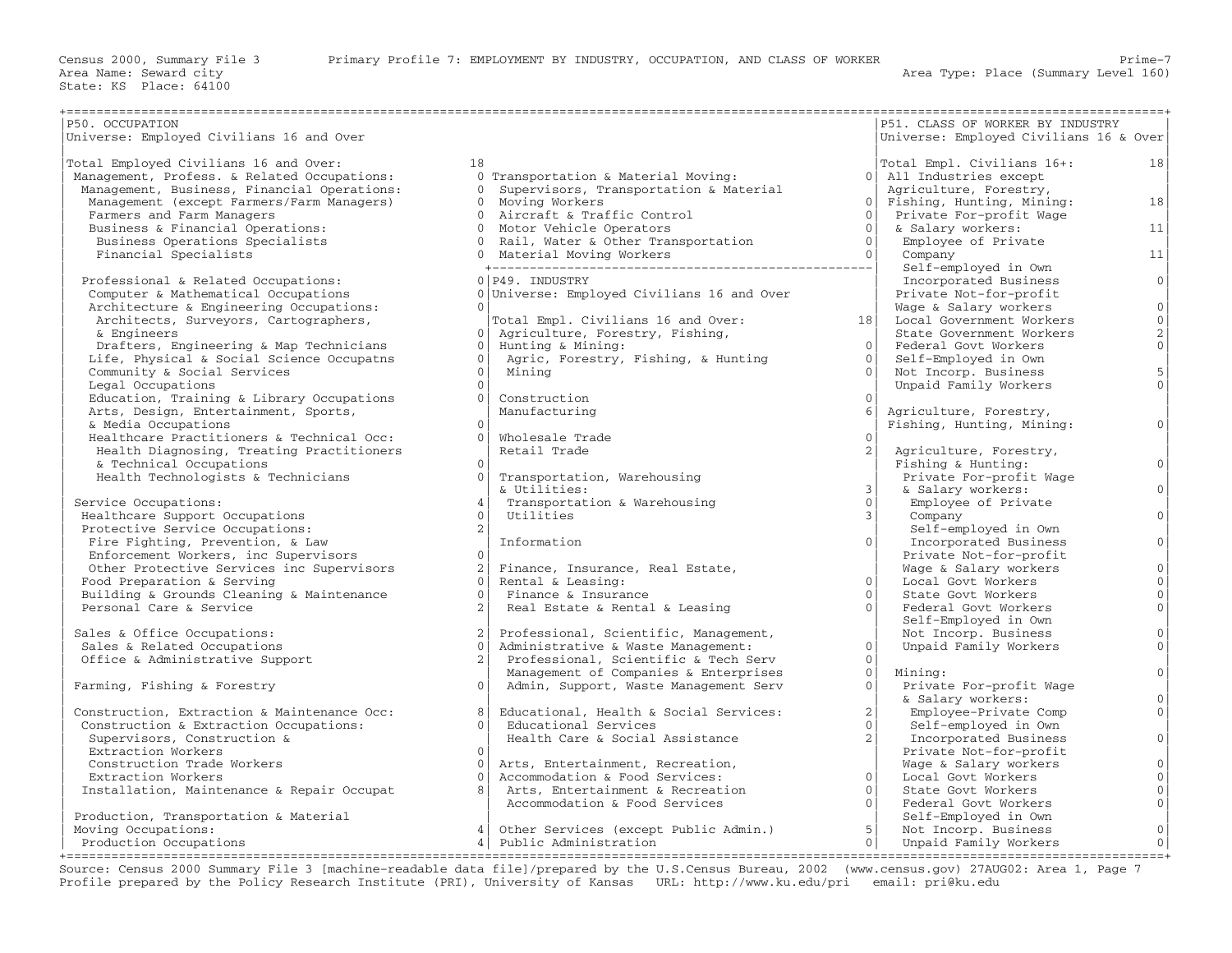| P50. OCCUPATION                             |                |                                            |                | P51. CLASS OF WORKER BY INDUSTRY       |                     |
|---------------------------------------------|----------------|--------------------------------------------|----------------|----------------------------------------|---------------------|
| Universe: Employed Civilians 16 and Over    |                |                                            |                | Universe: Employed Civilians 16 & Over |                     |
|                                             |                |                                            |                |                                        |                     |
| Total Employed Civilians 16 and Over:       | 18             |                                            |                | Total Empl. Civilians 16+:             | 18                  |
| Management, Profess. & Related Occupations: |                | 0 Transportation & Material Moving:        |                | 0 All Industries except                |                     |
| Management, Business, Financial Operations: |                | 0 Supervisors, Transportation & Material   |                | Agriculture, Forestry,                 |                     |
| Management (except Farmers/Farm Managers)   |                | 0 Moving Workers                           |                | 0 Fishing, Hunting, Mining:            | 18                  |
| Farmers and Farm Managers                   |                | 0 Aircraft & Traffic Control               | $\Omega$       | Private For-profit Wage                |                     |
| Business & Financial Operations:            |                | 0 Motor Vehicle Operators                  | $\Omega$       | & Salary workers:                      | 11                  |
| Business Operations Specialists             |                | 0 Rail, Water & Other Transportation       | 0 <sup>1</sup> | Employee of Private                    |                     |
| Financial Specialists                       |                |                                            | 0 <sup>1</sup> | Company                                | 11                  |
|                                             |                | 0 Material Moving Workers                  |                |                                        |                     |
|                                             |                |                                            |                | Self-employed in Own                   |                     |
| Professional & Related Occupations:         |                | 0 P49. INDUSTRY                            |                | Incorporated Business                  | 0 <sup>1</sup>      |
| Computer & Mathematical Occupations         |                | 0 Universe: Employed Civilians 16 and Over |                | Private Not-for-profit                 |                     |
| Architecture & Engineering Occupations:     | $\cap$         |                                            |                | Wage & Salary workers                  | 0                   |
| Architects, Surveyors, Cartographers,       |                | Total Empl. Civilians 16 and Over:         | 18             | Local Government Workers               | $\overline{0}$      |
| & Engineers                                 | $\overline{0}$ | Agriculture, Forestry, Fishing,            |                | State Government Workers               | 2                   |
| Drafters, Engineering & Map Technicians     | 0 <sup>1</sup> | Hunting & Mining:                          | $\Omega$       | Federal Govt Workers                   | $\circ$             |
| Life, Physical & Social Science Occupatns   | $\Omega$       | Agric, Forestry, Fishing, & Hunting        | 0 <sup>1</sup> | Self-Employed in Own                   |                     |
| Community & Social Services                 | $\Omega$       | Mining                                     | $\bigcap$      | Not Incorp. Business                   | 5                   |
| Legal Occupations                           | $\Omega$       |                                            |                | Unpaid Family Workers                  | $\mathbf{0}$        |
| Education, Training & Library Occupations   | $\Omega$       | Construction                               |                |                                        |                     |
| Arts, Design, Entertainment, Sports,        |                | Manufacturing                              | 6              | Agriculture, Forestry,                 |                     |
| & Media Occupations                         | $\Omega$       |                                            |                | Fishing, Hunting, Mining:              | $\mathbf{0}$        |
| Healthcare Practitioners & Technical Occ:   | $\Omega$       | Wholesale Trade                            |                |                                        |                     |
| Health Diagnosing, Treating Practitioners   |                | Retail Trade                               | 2 <sup>1</sup> | Agriculture, Forestry,                 |                     |
| & Technical Occupations                     | $\Omega$       |                                            |                | Fishing & Hunting:                     | $\Omega$            |
| Health Technologists & Technicians          | $\Omega$       | Transportation, Warehousing                |                | Private For-profit Wage                |                     |
|                                             |                | & Utilities:                               | 3              | & Salary workers:                      | 0 <sup>1</sup>      |
| Service Occupations:                        |                | Transportation & Warehousing               | 0 <sup>1</sup> | Employee of Private                    |                     |
|                                             | $\Omega$       |                                            | $\overline{3}$ |                                        | $\circ$             |
| Healthcare Support Occupations              | 2 <sup>1</sup> | Utilities                                  |                | Company                                |                     |
| Protective Service Occupations:             |                |                                            |                | Self-employed in Own                   |                     |
| Fire Fighting, Prevention, & Law            |                | Information                                | $\overline{0}$ | Incorporated Business                  | 0 <sup>1</sup>      |
| Enforcement Workers, inc Supervisors        | $\Omega$       |                                            |                | Private Not-for-profit                 |                     |
| Other Protective Services inc Supervisors   | 2 <sup>1</sup> | Finance, Insurance, Real Estate,           |                | Wage & Salary workers                  | $\mathbb O$         |
| Food Preparation & Serving                  | $\bigcap$      | Rental & Leasing:                          | $\Omega$       | Local Govt Workers                     | $\circ$             |
| Building & Grounds Cleaning & Maintenance   | $\Omega$       | Finance & Insurance                        | $\Omega$       | State Govt Workers                     | $\mathbf 0$         |
| Personal Care & Service                     | 2 <sub>1</sub> | Real Estate & Rental & Leasing             | 0 <sup>1</sup> | Federal Govt Workers                   | $\mathbf{0}$        |
|                                             |                |                                            |                | Self-Employed in Own                   |                     |
| Sales & Office Occupations:                 | 2              | Professional, Scientific, Management,      |                | Not Incorp. Business                   | $\mathsf{O}\xspace$ |
| Sales & Related Occupations                 | $\Omega$       | Administrative & Waste Management:         | $\overline{0}$ | Unpaid Family Workers                  | $\mathbf{0}$        |
| Office & Administrative Support             | 2 <sub>1</sub> | Professional, Scientific & Tech Serv       | $\Omega$       |                                        |                     |
|                                             |                | Management of Companies & Enterprises      | 0 <sup>1</sup> | Mining:                                | $\circ$             |
| Farming, Fishing & Forestry                 | $\Omega$       | Admin, Support, Waste Management Serv      | $\overline{0}$ | Private For-profit Wage                |                     |
|                                             |                |                                            |                | & Salary workers:                      | $\mathbf 0$         |
| Construction, Extraction & Maintenance Occ: | 8 <sup>1</sup> | Educational, Health & Social Services:     | $\overline{2}$ | Employee-Private Comp                  | $\mathbf{0}$        |
| Construction & Extraction Occupations:      | $\bigcap$      | Educational Services                       | $\Omega$       | Self-employed in Own                   |                     |
| Supervisors, Construction &                 |                | Health Care & Social Assistance            | 2 <sup>1</sup> | Incorporated Business                  | $\overline{0}$      |
| Extraction Workers                          | $\cap$         |                                            |                | Private Not-for-profit                 |                     |
| Construction Trade Workers                  | $\bigcap$      | Arts, Entertainment, Recreation,           |                | Wage & Salary workers                  | $\mathbf 0$         |
| Extraction Workers                          | $\Omega$       | Accommodation & Food Services:             | 0 <sup>1</sup> | Local Govt Workers                     | $\mathbf{0}$        |
|                                             | $\mathsf{R}$   | Arts, Entertainment & Recreation           | $\Omega$       | State Govt Workers                     | $\circ$             |
| Installation, Maintenance & Repair Occupat  |                |                                            | $\overline{0}$ |                                        |                     |
|                                             |                | Accommodation & Food Services              |                | Federal Govt Workers                   | $\mathbf 0$         |
| Production, Transportation & Material       |                |                                            |                | Self-Employed in Own                   |                     |
| Moving Occupations:                         | 4 <sup>1</sup> | Other Services (except Public Admin.)      | 5              | Not Incorp. Business                   | $\mathbb O$         |
| Production Occupations                      | 4              | Public Administration                      | 0 <sup>1</sup> | Unpaid Family Workers                  | $\overline{0}$      |

+===================================================================================================================================================+ Source: Census 2000 Summary File 3 [machine−readable data file]/prepared by the U.S.Census Bureau, 2002 (www.census.gov) 27AUG02: Area 1, Page 7 Profile prepared by the Policy Research Institute (PRI), University of Kansas URL: http://www.ku.edu/pri email: pri@ku.edu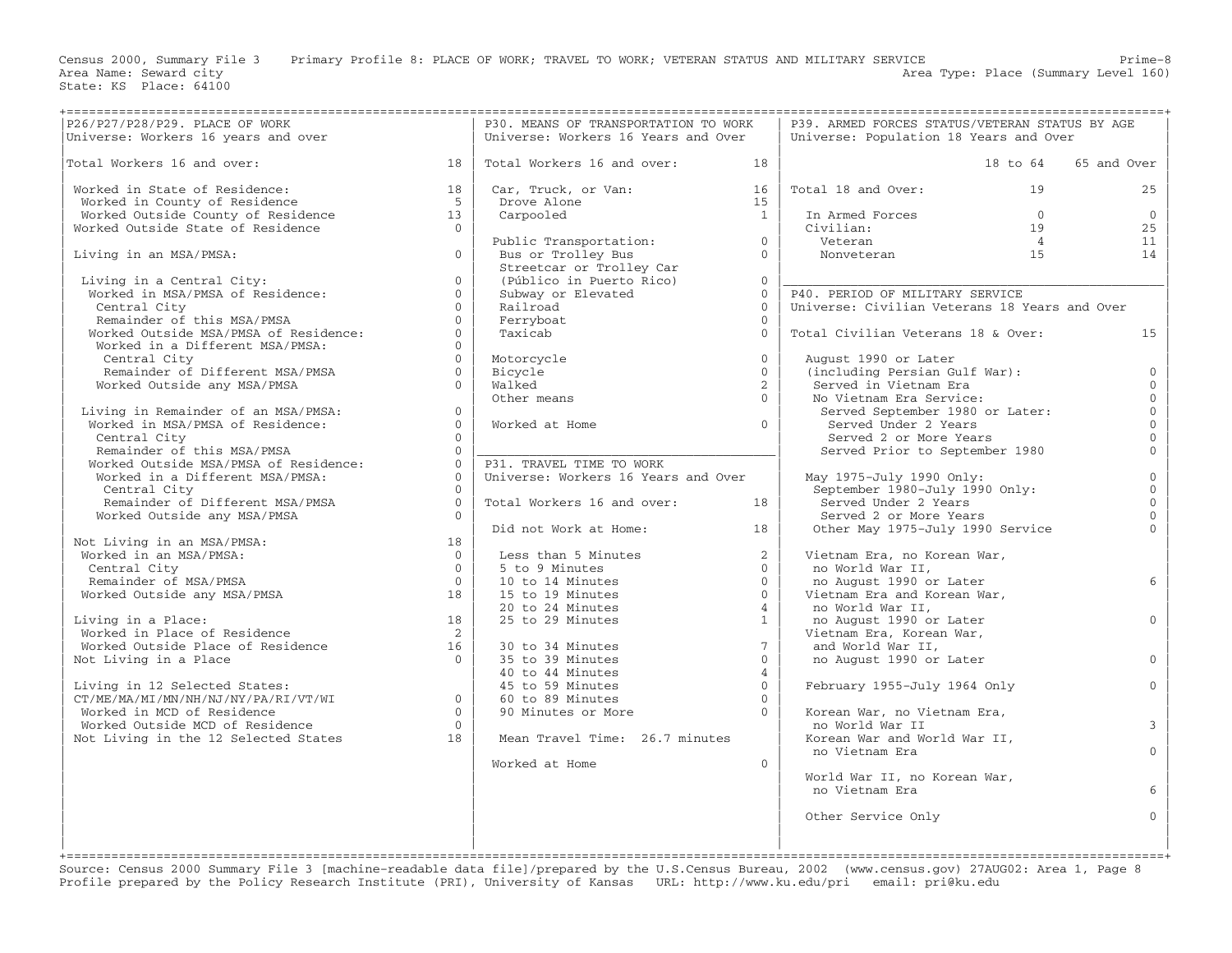Census 2000, Summary File 3 Primary Profile 8: PLACE OF WORK; TRAVEL TO WORK; VETERAN STATUS AND MILITARY SERVICE Prime-8<br>Area Name: Seward city

Area Type: Place (Summary Level 160)

| Universe: Workers 16 years and over<br>The Contract of Monday and Sears and Over<br>The Contract of Monday and Over                       |                | P30. MEANS OF TRANSPORTATION TO WORK                                                                                   |                | P39. ARMED FORCES STATUS/VETERAN STATUS BY AGE                             |                     |
|-------------------------------------------------------------------------------------------------------------------------------------------|----------------|------------------------------------------------------------------------------------------------------------------------|----------------|----------------------------------------------------------------------------|---------------------|
|                                                                                                                                           |                | Universe: Workers 16 Years and Over                                                                                    |                | Universe: Population 18 Years and Over                                     |                     |
|                                                                                                                                           |                |                                                                                                                        |                |                                                                            |                     |
| Total Workers 16 and over:<br>$\sim$ 18                                                                                                   |                | Total Workers 16 and over:                                                                                             | 18             | 18 to 64                                                                   | 65 and Over         |
|                                                                                                                                           |                |                                                                                                                        |                |                                                                            |                     |
| Worked in State of Residence:                                                                                                             | 18             | Car, Truck, or Van:                                                                                                    | 16             | Total 18 and Over:<br>19                                                   | 25                  |
|                                                                                                                                           |                |                                                                                                                        |                |                                                                            |                     |
| Worked in County of Residence<br>Worked in County of Residence<br>Worked Outside County of Residence<br>Worked Outside State of Residence | 5 <sup>5</sup> | Drove Alone                                                                                                            | 15             |                                                                            |                     |
|                                                                                                                                           | 13             | Carpooled                                                                                                              | $\overline{1}$ | In Armed Forces<br>$\overline{0}$                                          | $\overline{0}$      |
|                                                                                                                                           | $\Omega$       |                                                                                                                        |                | Civilian:<br>19                                                            | 25                  |
|                                                                                                                                           |                | Public Transportation:                                                                                                 | $\overline{0}$ | Extra 19<br>Veteran 1<br>Nonveteran 15<br>- .<br>Veteran<br>$\overline{4}$ | 11                  |
| Living in an MSA/PMSA:                                                                                                                    | $\Omega$       | Bus or Trolley Bus                                                                                                     | $\Omega$       |                                                                            | 14                  |
|                                                                                                                                           |                | Streetcar or Trolley Car                                                                                               |                |                                                                            |                     |
|                                                                                                                                           | $\overline{0}$ | (Público in Puerto Rico)                                                                                               | $\overline{0}$ |                                                                            |                     |
| Living in a Central City:<br>Worked in MSA/PMSA of Residence:                                                                             | $\Omega$       | Subway or Elevated                                                                                                     | $\Omega$       | P40. PERIOD OF MILITARY SERVICE                                            |                     |
| Central City                                                                                                                              | $\Omega$       | Railroad                                                                                                               | $\Omega$       | Universe: Civilian Veterans 18 Years and Over                              |                     |
|                                                                                                                                           | $\Omega$       |                                                                                                                        | $\Omega$       |                                                                            |                     |
| -<br>Remainder of this MSA/PMSA<br>Worked Outside MSA/PMSA of Residence:                                                                  |                | Ferryboat                                                                                                              |                |                                                                            |                     |
|                                                                                                                                           | $\overline{0}$ | Taxicab                                                                                                                | $\Omega$       | Total Civilian Veterans 18 & Over:                                         | 15                  |
| Worked in a Different MSA/PMSA:                                                                                                           | $\Omega$       |                                                                                                                        |                |                                                                            |                     |
| Central City                                                                                                                              | $\Omega$       | Motorcycle                                                                                                             | $\Omega$       | August 1990 or Later                                                       |                     |
| Remainder of Different MSA/PMSA                                                                                                           | $\overline{0}$ | Bicycle                                                                                                                | $\Omega$       | (including Persian Gulf War):                                              | $\mathbf 0$         |
| Worked Outside any MSA/PMSA                                                                                                               | $\cap$         | Walked                                                                                                                 | $\overline{2}$ | Served in Vietnam Era                                                      | $\overline{0}$      |
|                                                                                                                                           |                | Other means                                                                                                            | $\cap$         | No Vietnam Era Service:                                                    | $\mathbf{0}$        |
| Living in Remainder of an MSA/PMSA:                                                                                                       | $\Omega$       |                                                                                                                        |                | Served September 1980 or Later:                                            | $\mathsf{O}\xspace$ |
| Worked in MSA/PMSA of Residence:                                                                                                          | $\Omega$       | Worked at Home                                                                                                         | $\Omega$       | Served Under 2 Years                                                       | $\overline{0}$      |
| Central City                                                                                                                              | $\Omega$       |                                                                                                                        |                | Served 2 or More Years                                                     | $\mathbf 0$         |
|                                                                                                                                           |                |                                                                                                                        |                |                                                                            |                     |
| Remainder of this MSA/PMSA                                                                                                                | $\Omega$       |                                                                                                                        |                | Served Prior to September 1980                                             | $\mathbf 0$         |
| Worked Outside MSA/PMSA of Residence:                                                                                                     | $\overline{0}$ | P31. TRAVEL TIME TO WORK                                                                                               |                |                                                                            |                     |
| Worked in a Different MSA/PMSA:                                                                                                           | $\Omega$       | Universe: Workers 16 Years and Over                                                                                    |                | May 1975-July 1990 Only:                                                   | $\mathbf 0$         |
| Central City                                                                                                                              | $\Omega$       |                                                                                                                        |                | September 1980-July 1990 Only:                                             | $\mathbf 0$         |
| Central City<br>Remainder of Different MSA/PMSA                                                                                           | $\Omega$       | Total Workers 16 and over:                                                                                             | 18             | Served Under 2 Years                                                       | $\mathbf{0}$        |
| Worked Outside any MSA/PMSA                                                                                                               | $\Omega$       |                                                                                                                        |                | Served 2 or More Years                                                     | $\overline{0}$      |
|                                                                                                                                           |                | Did not Work at Home:                                                                                                  | 18             | Other May 1975-July 1990 Service                                           | $\Omega$            |
| Not Living in an MSA/PMSA:                                                                                                                | 18             |                                                                                                                        |                |                                                                            |                     |
| Worked in an MSA/PMSA:                                                                                                                    | $\Omega$       | Less than 5 Minutes                                                                                                    | $2^{\circ}$    | Vietnam Era, no Korean War,                                                |                     |
| Central City                                                                                                                              | $\bigcap$      |                                                                                                                        | $\Omega$       | no World War II,                                                           |                     |
|                                                                                                                                           | $\overline{0}$ |                                                                                                                        | $\Omega$       |                                                                            | 6                   |
| Remainder of MSA/PMSA                                                                                                                     |                |                                                                                                                        |                | no August 1990 or Later                                                    |                     |
| Worked Outside any MSA/PMSA                                                                                                               | 18             | Less than 5 $M_{\text{H}}$<br>5 to 9 Minutes<br>10 to 14 Minutes                                                       | $\Omega$       | Vietnam Era and Korean War,                                                |                     |
|                                                                                                                                           |                | 20 to 24 Minutes                                                                                                       | $\overline{4}$ | no World War II,                                                           |                     |
| Living in a Place:                                                                                                                        | 18             | 25 to 29 Minutes                                                                                                       | $\mathbf{1}$   | no August 1990 or Later                                                    | $\mathbf{0}$        |
| Worked in Place of Residence                                                                                                              | $\overline{2}$ |                                                                                                                        |                | Vietnam Era, Korean War,                                                   |                     |
| Worked in flace of Residence<br>Worked Outside Place of Residence                                                                         | 16             |                                                                                                                        | $7^{\circ}$    | and World War II,                                                          |                     |
| Not Living in a Place                                                                                                                     | $\Omega$       | 30 to 34 Minutes<br>35 to 39 Minutes<br>40 to 44 Minutes<br>45 to 59 Minutes<br>60 to 89 Minutes<br>90 Minutes or More | $\Omega$       | no August 1990 or Later                                                    | $\mathbf{0}$        |
|                                                                                                                                           |                |                                                                                                                        | $\overline{4}$ |                                                                            |                     |
|                                                                                                                                           |                |                                                                                                                        | $\Omega$       | February 1955-July 1964 Only                                               | $\mathbf{0}$        |
| Living in 12 Selected States:<br>CT/ME/MA/MI/MN/NH/NJ/NY/PA/RI/VT/WI 0                                                                    |                | 60 to 89 Minutes                                                                                                       | $\Omega$       |                                                                            |                     |
|                                                                                                                                           |                |                                                                                                                        | $\cap$         |                                                                            |                     |
| Worked in MCD of Residence                                                                                                                | $\cap$         |                                                                                                                        |                | Korean War, no Vietnam Era,                                                |                     |
| Worked Outside MCD of Residence                                                                                                           | $\Omega$       |                                                                                                                        |                | no World War II                                                            | 3                   |
| 18<br>Not Living in the 12 Selected States                                                                                                |                | Mean Travel Time: 26.7 minutes                                                                                         |                | Korean War and World War II,                                               |                     |
|                                                                                                                                           |                |                                                                                                                        |                | no Vietnam Era                                                             | $\mathbf{0}$        |
|                                                                                                                                           |                | Worked at Home                                                                                                         | $\Omega$       |                                                                            |                     |
|                                                                                                                                           |                |                                                                                                                        |                | World War II, no Korean War,                                               |                     |
|                                                                                                                                           |                |                                                                                                                        |                | no Vietnam Era                                                             | 6                   |
|                                                                                                                                           |                |                                                                                                                        |                |                                                                            |                     |
|                                                                                                                                           |                |                                                                                                                        |                | Other Service Only                                                         | $\Omega$            |
|                                                                                                                                           |                |                                                                                                                        |                |                                                                            |                     |
|                                                                                                                                           |                |                                                                                                                        |                |                                                                            |                     |
|                                                                                                                                           |                |                                                                                                                        |                |                                                                            |                     |
|                                                                                                                                           |                |                                                                                                                        |                |                                                                            |                     |

Source: Census 2000 Summary File 3 [machine−readable data file]/prepared by the U.S.Census Bureau, 2002 (www.census.gov) 27AUG02: Area 1, Page 8 Profile prepared by the Policy Research Institute (PRI), University of Kansas URL: http://www.ku.edu/pri email: pri@ku.edu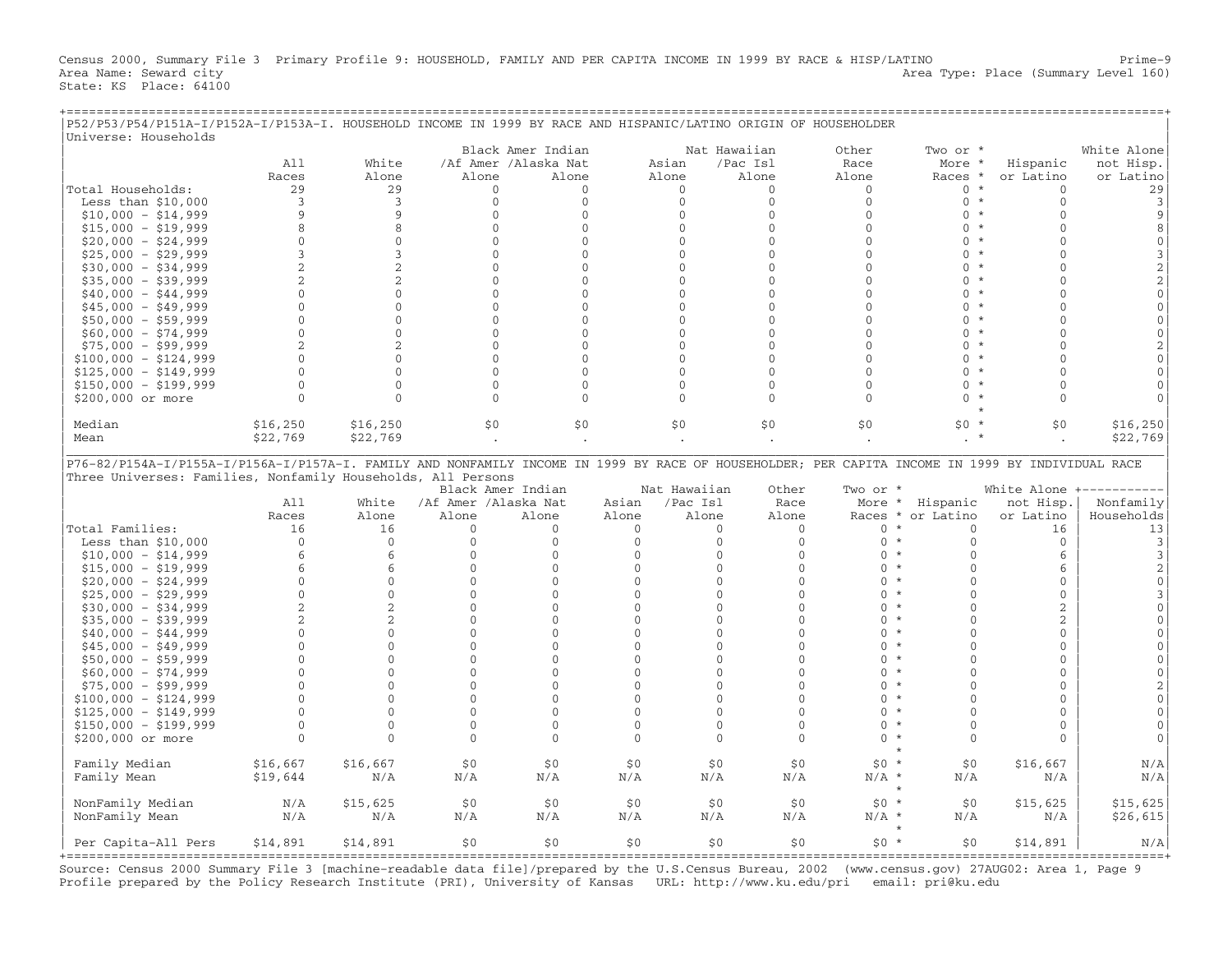Census 2000, Summary File 3 Primary Profile 9: HOUSEHOLD, FAMILY AND PER CAPITA INCOME IN 1999 BY RACE & HISP/LATINO Prime−9<br>Area Name: Seward city Area Type: Place (Summary Level 160) State: KS Place: 64100

+===================================================================================================================================================+

| P52/P53/P54/P151A-I/P152A-I/P153A-I. HOUSEHOLD INCOME IN 1999 BY RACE AND HISPANIC/LATINO ORIGIN OF HOUSEHOLDER<br>Universe: Households |                          |                |                      |                      |              |                          |                              |                    |                         |                                   |                   |
|-----------------------------------------------------------------------------------------------------------------------------------------|--------------------------|----------------|----------------------|----------------------|--------------|--------------------------|------------------------------|--------------------|-------------------------|-----------------------------------|-------------------|
|                                                                                                                                         |                          |                |                      | Black Amer Indian    |              |                          | Nat Hawaiian                 | Other              | Two or *                |                                   | White Alone       |
|                                                                                                                                         | A11                      | White          |                      | /Af Amer /Alaska Nat |              | Asian                    | /Pac Isl                     | Race               | More *                  | Hispanic                          | not Hisp.         |
|                                                                                                                                         | Races                    | Alone          | Alone                | Alone                |              | Alone                    | Alone                        | Alone              | Races *                 | or Latino                         | or Latino         |
| Total Households:                                                                                                                       | 29                       | 29             | $\mathbf{0}$         | $\mathbf{0}$         |              | $\mathbf{0}$             | $\mathbf{0}$                 | $\mathbf{0}$       | $0 *$                   | $\mathbf{0}$                      | 29                |
| Less than $$10,000$                                                                                                                     | 3                        | 3              | $\mathbf{0}$         | $\mathbf{0}$         |              | $\Omega$                 | $\Omega$                     | $\mathbf{0}$       | $0 *$                   | $\mathbf{0}$                      | 3                 |
| $$10,000 - $14,999$                                                                                                                     | 9                        | 9              | $\mathbf{0}$         | $\mathbf{0}$         |              | $\mathbf{0}$             | $\mathbf{0}$                 | $\mathbf{0}$       | $\mathbf{0}$<br>$\star$ | $\mathbf{0}$                      | 9                 |
| $$15,000 - $19,999$                                                                                                                     | 8                        | 8              | $\mathbf{0}$         | $\mathbf{0}$         |              | $\Omega$                 | $\Omega$                     | $\Omega$           | $\Omega$<br>$\star$     | $\Omega$                          | 8                 |
| $$20,000 - $24,999$                                                                                                                     | $\mathbf{0}$             | $\mathbf{0}$   | $\mathbf{0}$         | $\mathbf{0}$         |              | $\overline{0}$           | $\mathbf{0}$                 | $\Omega$           | $\mathbf{0}$<br>$\star$ | $\Omega$                          | $\mathbf{0}$      |
| $$25,000 - $29,999$                                                                                                                     | 3                        | 3              | $\mathbf{0}$         | $\mathbf{0}$         |              | $\overline{0}$           | $\mathbf{0}$                 | $\mathbf{0}$       | $\Omega$<br>$\star$     | $\Omega$                          | 3                 |
| $$30,000 - $34,999$                                                                                                                     | $\overline{2}$           | 2              | $\mathbf{0}$         | $\mathbf{0}$         |              | $\Omega$                 | $\mathbf{0}$                 | $\Omega$           | $\star$<br>$\Omega$     | $\Omega$                          | $\overline{2}$    |
| $$35,000 - $39,999$                                                                                                                     | $\overline{a}$           | $\overline{c}$ | $\Omega$             | $\Omega$             |              | $\Omega$                 | $\Omega$                     | $\cap$             | $\Omega$<br>$\star$     | $\cap$                            | $\overline{2}$    |
| $$40,000 - $44,999$                                                                                                                     | $\Omega$                 | $\Omega$       | $\Omega$             | $\Omega$             |              | $\Omega$                 | $\Omega$                     | $\cap$             | $\Omega$<br>$\star$     | $\cap$                            | $\mathbf 0$       |
| $$45,000 - $49,999$                                                                                                                     | $\Omega$                 | $\mathbf{0}$   | $\mathbf{0}$         | $\mathbf{0}$         |              | $\mathbf{0}$             | $\mathbf{0}$                 | $\Omega$           | $\Omega$<br>$^\star$    | $\Omega$                          | $\mathbf{0}$      |
|                                                                                                                                         | $\Omega$                 | $\Omega$       |                      | $\mathbf 0$          |              | $\Omega$                 | $\mathbf{0}$                 | $\Omega$           | $\Omega$<br>$\star$     | $\Omega$                          |                   |
| $$50,000 - $59,999$                                                                                                                     |                          |                | $\mathbf{0}$         |                      |              |                          |                              |                    | $\star$                 | $\Omega$                          | $\mathbf{0}$      |
| $$60,000 - $74,999$                                                                                                                     | $\Omega$                 | $\Omega$       | $\Omega$             | $\mathbf 0$          |              | $\Omega$                 | $\mathbf{0}$                 | $\Omega$           | $\Omega$                |                                   | $\Omega$          |
| $$75,000 - $99,999$                                                                                                                     | $\overline{\mathcal{L}}$ | 2              | $\Omega$             | $\mathbf{0}$         |              | $\Omega$                 | $\mathbf{0}$                 | $\Omega$           | $\Omega$<br>$\star$     | $\cap$                            | $\mathfrak{D}$    |
| $$100,000 - $124,999$                                                                                                                   | $\mathbf{0}$             | $\mathbf{0}$   | $\mathbf{0}$         | $\mathbf{0}$         |              | $\mathbf{0}$             | $\mathbf{0}$                 | $\mathbf{0}$       | $\mathbf{0}$<br>$\star$ | $\Omega$                          | $\mathbf{0}$      |
| $$125,000 - $149,999$                                                                                                                   | $\Omega$                 | $\Omega$       | $\mathbf{0}$         | $\mathbf{0}$         |              | $\Omega$                 | $\mathbf{0}$                 | $\Omega$           | $\Omega$<br>$\star$     | $\Omega$                          | $\Omega$          |
| $$150,000 - $199,999$                                                                                                                   | $\Omega$                 | $\Omega$       | $\Omega$             | $\overline{0}$       |              | $\Omega$                 | $\mathbf{0}$                 | $\Omega$           | $\Omega$<br>$^{\star}$  | $\Omega$                          | $\Omega$          |
| \$200,000 or more                                                                                                                       | $\mathbf{0}$             | $\Omega$       | $\Omega$             | $\Omega$             |              | $\Omega$                 | $\mathbf{0}$                 | $\Omega$           | $\Omega$                | $\Omega$                          | $\cap$            |
| Median                                                                                                                                  | \$16, 250                | \$16, 250      | \$0                  | \$0                  |              | \$0                      | \$0\$                        | \$0                | $$0*$                   | \$0                               | \$16, 250         |
| Mean                                                                                                                                    | \$22,769                 | \$22,769       | $\bullet$            |                      |              |                          |                              |                    |                         |                                   | \$22,769          |
| Three Universes: Families, Nonfamily Households, All Persons                                                                            | A11                      | White          | /Af Amer /Alaska Nat | Black Amer Indian    | Asian        | Nat Hawaiian<br>/Pac Isl | Other<br>Race                | Two or *<br>More * | Hispanic                | White Alone $+-----$<br>not Hisp. | Nonfamily         |
|                                                                                                                                         | Races                    | Alone          | Alone                | Alone                | Alone        | Alone                    | Alone                        |                    | Races * or Latino       | or Latino                         | Households        |
| Total Families:                                                                                                                         | 16                       | 16             | $\mathbf{0}$         | $\mathbf{0}$         | $\mathbf{0}$ |                          | $\mathbf{0}$<br>$\mathbf{0}$ | $\mathbf{0}$       | $^\star$<br>$\mathbf 0$ | 16                                | 13                |
| Less than $$10,000$                                                                                                                     | $\mathbf{0}$             | $\mathbf{0}$   | $\mathbf{0}$         | $\mathbf{0}$         | $\mathbf{0}$ |                          | $\mathbf{0}$<br>$\mathbf{0}$ | $\mathbf{0}$       | $\mathbf{0}$<br>$\star$ | $\mathbf{0}$                      | 3                 |
| $$10,000 - $14,999$                                                                                                                     | 6                        | 6              | $\mathbf{0}$         | $\mathbf{0}$         | $\mathbf{0}$ |                          | $\mathbf{0}$<br>$\Omega$     | $\Omega$           | $\star$<br>$\Omega$     | 6                                 | $\mathbf{3}$      |
|                                                                                                                                         | 6                        | 6              | $\Omega$             | $\Omega$             | $\Omega$     |                          | $\Omega$<br>$\Omega$         | $\Omega$           | $\star$<br>$\Omega$     | 6                                 | $\overline{2}$    |
| $$15,000 - $19,999$                                                                                                                     | $\mathbf{0}$             | $\mathbf{0}$   | $\mathbf{0}$         | $\mathbf{0}$         | $\mathbf{0}$ |                          | $\mathbf{0}$<br>$\mathbf{0}$ | $\mathbf{0}$       | $\star$<br>$\Omega$     | $\mathbf{0}$                      | $\mathbf{0}$      |
| $$20,000 - $24,999$                                                                                                                     |                          |                |                      |                      |              |                          | $\mathbf{0}$                 | $\Omega$           | $^\star$<br>$\Omega$    |                                   |                   |
| $$25,000 - $29,999$                                                                                                                     | $\mathbf{0}$             | $\mathbf{0}$   | $\mathbf{0}$         | $\mathbf{0}$         | $\mathbf{0}$ |                          | $\mathbf{0}$                 |                    |                         | $\mathbf{0}$                      | 3                 |
| $$30,000 - $34,999$                                                                                                                     | 2                        | 2              | $\Omega$             | $\Omega$             | $\Omega$     |                          | $\Omega$<br>$\Omega$         | $\Omega$           | $\star$<br>$\Omega$     | $\overline{2}$                    | $\Omega$          |
| $$35,000 - $39,999$                                                                                                                     | $\overline{2}$           | 2              | $\mathbf{0}$         | $\mathbf{0}$         | 0            |                          | $\mathbf{0}$<br>$\mathbf{0}$ | $\Omega$           | $\star$<br>$\Omega$     | 2                                 | $\Omega$          |
| $$40,000 - $44,999$                                                                                                                     | 0                        | $\mathbf{0}$   | $\mathbf{0}$         | 0                    | 0            |                          | $\mathbf{0}$<br>$\mathbf{0}$ | $\mathbf{0}$       | $\star$<br>$\Omega$     | $\mathbf 0$                       | $\mathbf{0}$      |
| $$45,000 - $49,999$                                                                                                                     | $\Omega$                 | $\Omega$       | $\Omega$             | $\Omega$             | $\Omega$     |                          | $\Omega$<br>$\Omega$         | $\Omega$           | $\star$<br>$\Omega$     | $\mathbf{0}$                      | $\Omega$          |
| $$50,000 - $59,999$                                                                                                                     | $\Omega$                 | $\Omega$       | $\mathbf{0}$         | $\mathbf{0}$         | $\mathbf{0}$ |                          | $\mathbf{0}$<br>$\mathbf{0}$ | $\Omega$           | $\star$<br>$\Omega$     | $\mathbf{0}$                      | $\Omega$          |
| $$60,000 - $74,999$                                                                                                                     | $\Omega$                 | $\Omega$       | $\Omega$             | $\circ$              | $\Omega$     |                          | $\Omega$<br>$\Omega$         | $\Omega$           | $\star$<br>$\Omega$     | $\Omega$                          | $\Omega$          |
| $$75,000 - $99,999$                                                                                                                     | $\Omega$                 | $\Omega$       | $\mathbf{0}$         | $\mathbf{0}$         | $\mathbf{0}$ |                          | $\mathbf{0}$<br>$\mathbf{0}$ | $\Omega$           | $\star$<br>$\Omega$     | $\mathbf{0}$                      | 2                 |
| $$100,000 - $124,999$                                                                                                                   | $\Omega$                 | $\Omega$       | $\mathbf{0}$         | $\mathbf{0}$         | $\mathbf{0}$ |                          | $\Omega$<br>$\mathbf{0}$     | $\Omega$           | $\star$<br>$\Omega$     | $\mathbf{0}$                      | $\mathbf{0}$      |
| $$125,000 - $149,999$                                                                                                                   | $\mathbf{0}$             | $\Omega$       | $\mathbf{0}$         | $\mathbf{0}$         | $\mathbf{0}$ |                          | $\mathbf{0}$<br>$\mathbf{0}$ | $\Omega$           | $\star$<br>$\Omega$     | $\mathbf{0}$                      | $\mathbf{0}$      |
| $$150,000 - $199,999$                                                                                                                   | $\mathbf{0}$             | $\mathbf{0}$   | $\mathbf{0}$         | $\mathbf{0}$         | $\Omega$     |                          | $\mathbf{0}$<br>$\mathbf{0}$ | $\Omega$           | $\star$<br>$\Omega$     | $\mathbf{0}$                      | $\mathbf{0}$      |
| \$200,000 or more                                                                                                                       | $\Omega$                 | $\Omega$       | $\Omega$             | $\Omega$             | $\Omega$     |                          | $\Omega$<br>$\Omega$         | $\Omega$           | $\star$<br>$\Omega$     | $\Omega$                          | $\Omega$          |
| Family Median                                                                                                                           | \$16,667                 | \$16,667       | \$0\$                | \$0                  | \$0          |                          | \$0\$<br>\$0                 | $$0 *$             | \$0                     | \$16,667                          | N/A               |
|                                                                                                                                         |                          | N/A            | N/A                  | N/A                  |              | N/A                      | N/A                          | $N/A$ *            | N/A                     |                                   |                   |
| Family Mean                                                                                                                             | \$19,644                 |                |                      |                      | N/A          |                          |                              |                    |                         | N/A                               | N/A               |
| NonFamily Median                                                                                                                        | N/A                      | \$15,625       | \$0                  | \$0                  | \$0          |                          | \$0<br>\$0                   | $$0 *$             | \$0                     | \$15,625                          | \$15,625          |
| NonFamily Mean                                                                                                                          | N/A                      | N/A            | N/A                  | N/A                  | N/A          | N/A                      | N/A                          | $N/A$ *            | N/A                     | N/A                               | \$26,615          |
|                                                                                                                                         |                          |                |                      |                      |              |                          |                              |                    |                         |                                   |                   |
| Per Capita-All Pers                                                                                                                     | \$14,891                 | \$14,891       | \$0                  | \$0                  | \$0          |                          | \$0\$<br>\$0                 | $$0*$              | \$0                     | \$14,891<br>========              | N/A<br>=========+ |

Source: Census 2000 Summary File 3 [machine−readable data file]/prepared by the U.S.Census Bureau, 2002 (www.census.gov) 27AUG02: Area 1, Page 9 Profile prepared by the Policy Research Institute (PRI), University of Kansas URL: http://www.ku.edu/pri email: pri@ku.edu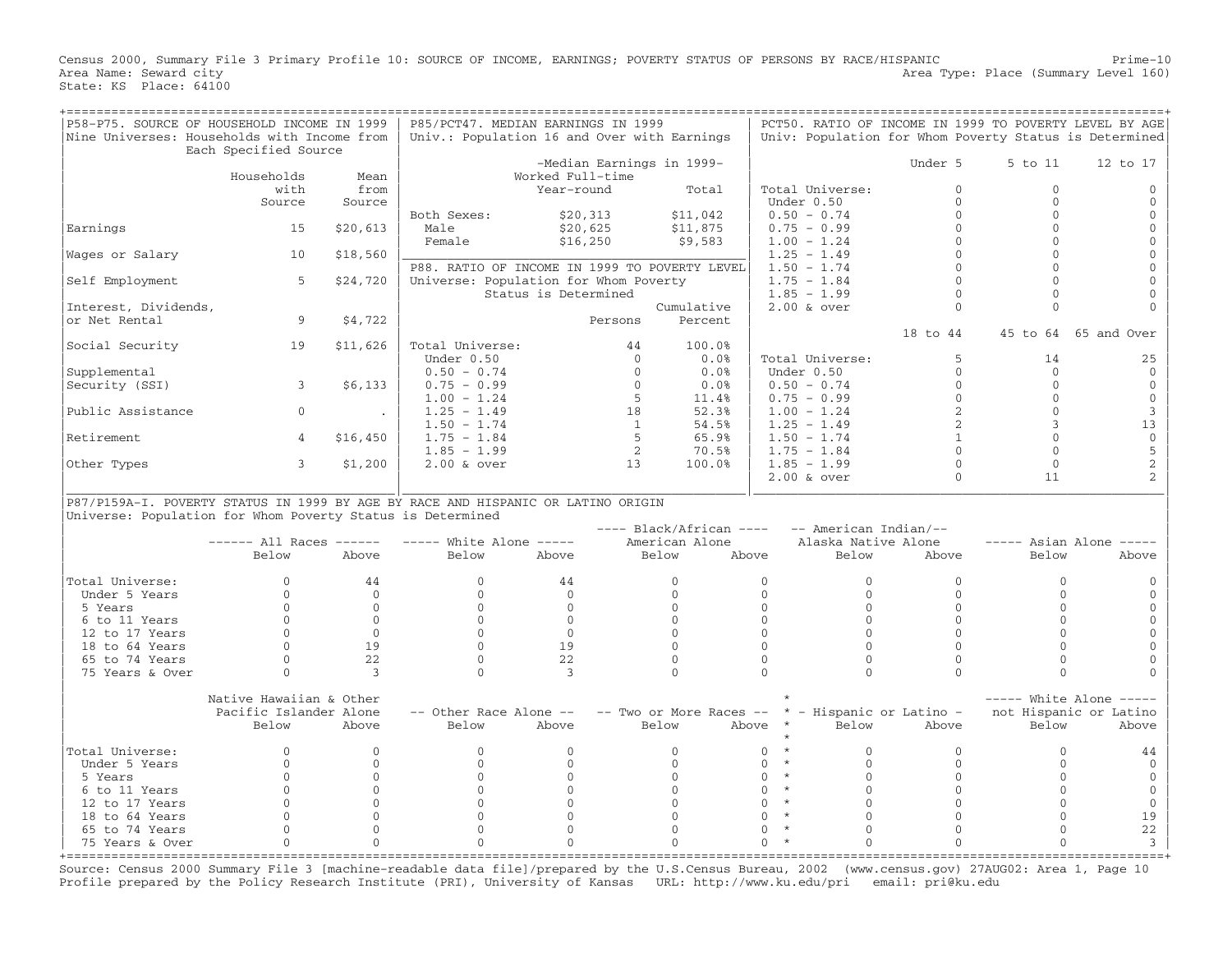Census 2000, Summary File 3 Primary Profile 10: SOURCE OF INCOME, EARNINGS; POVERTY STATUS OF PERSONS BY RACE/HISPANIC Prime−10<br>Area Type: Place (Summary Level 160) Area Type: Place (Summary Level 160) Area Type: Place (Summary Level 160) State: KS Place: 64100

| P58-P75. SOURCE OF HOUSEHOLD INCOME IN 1999                                      |                             |                | P85/PCT47. MEDIAN EARNINGS IN 1999            |                           |                                                     |                     |                     |                       | PCT50. RATIO OF INCOME IN 1999 TO POVERTY LEVEL BY AGE |                         |
|----------------------------------------------------------------------------------|-----------------------------|----------------|-----------------------------------------------|---------------------------|-----------------------------------------------------|---------------------|---------------------|-----------------------|--------------------------------------------------------|-------------------------|
| Nine Universes: Households with Income from                                      |                             |                | Univ.: Population 16 and Over with Earnings   |                           |                                                     |                     |                     |                       | Univ: Population for Whom Poverty Status is Determined |                         |
|                                                                                  | Each Specified Source       |                |                                               |                           |                                                     |                     |                     |                       |                                                        |                         |
|                                                                                  |                             |                |                                               | -Median Earnings in 1999- |                                                     |                     |                     | Under 5               | 5 to 11                                                | 12 to 17                |
|                                                                                  | Households                  | Mean           |                                               | Worked Full-time          |                                                     |                     |                     |                       |                                                        |                         |
|                                                                                  | with                        | from           |                                               | Year-round                | Total                                               |                     | Total Universe:     |                       | $\Omega$<br>$\Omega$                                   |                         |
|                                                                                  | Source                      | Source         |                                               |                           |                                                     | Under 0.50          |                     |                       | $\Omega$<br>$\Omega$                                   |                         |
|                                                                                  |                             |                | Both Sexes:                                   | \$20,313                  | \$11,042                                            | $0.50 - 0.74$       |                     |                       | $\Omega$<br>$\Omega$                                   |                         |
| Earnings                                                                         | 15                          | \$20,613       | Male                                          | \$20,625                  | \$11,875                                            | $0.75 - 0.99$       |                     |                       | $\Omega$<br>$\Omega$                                   | $\Omega$                |
|                                                                                  |                             |                | Female                                        | \$16,250                  | \$9,583                                             | $1.00 - 1.24$       |                     |                       | $\Omega$<br>$\Omega$                                   | $\Omega$                |
| Wages or Salary                                                                  | 10                          | \$18,560       |                                               |                           |                                                     | $1.25 - 1.49$       |                     |                       | $\Omega$<br>$\cap$                                     |                         |
|                                                                                  |                             |                | P88. RATIO OF INCOME IN 1999 TO POVERTY LEVEL |                           |                                                     | $1.50 - 1.74$       |                     |                       | $\Omega$<br>$\Omega$                                   |                         |
| Self Employment                                                                  | 5                           | \$24,720       | Universe: Population for Whom Poverty         |                           |                                                     | $1.75 - 1.84$       |                     |                       | $\Omega$<br>$\Omega$                                   |                         |
|                                                                                  |                             |                |                                               | Status is Determined      |                                                     | $1.85 - 1.99$       |                     |                       | $\Omega$<br>$\Omega$                                   |                         |
| Interest, Dividends,                                                             |                             |                |                                               |                           | Cumulative                                          | $2.00$ & over       |                     |                       | $\Omega$<br>$\Omega$                                   |                         |
| or Net Rental                                                                    | 9                           | \$4,722        |                                               | Persons                   | Percent                                             |                     |                     |                       |                                                        |                         |
|                                                                                  |                             |                |                                               |                           |                                                     |                     |                     | 18 to 44              |                                                        | 45 to 64 65 and Over    |
| Social Security                                                                  | 19                          | \$11,626       | Total Universe:                               | 44                        | 100.0%                                              |                     |                     |                       |                                                        |                         |
|                                                                                  |                             |                | Under 0.50                                    |                           | 0.0%<br>$\Omega$                                    |                     | Total Universe:     |                       | 5<br>14                                                | 25                      |
| Supplemental                                                                     |                             |                | $0.50 - 0.74$                                 |                           | $\Omega$<br>0.0%                                    | Under 0.50          |                     |                       | $\Omega$<br>$\Omega$                                   | $\Omega$                |
|                                                                                  | $\mathbf{3}$                |                |                                               |                           | $\Omega$                                            |                     |                     |                       | $\Omega$<br>$\Omega$                                   | $\mathbf{0}$            |
| Security (SSI)                                                                   |                             | \$6,133        | $0.75 - 0.99$                                 |                           | 0.0%<br>- 5                                         | $0.50 - 0.74$       |                     |                       | $\Omega$<br>$\Omega$                                   | $\mathbf{0}$            |
|                                                                                  |                             |                | $1.00 - 1.24$                                 |                           | 11.4%                                               | $0.75 - 0.99$       |                     |                       | $\Omega$                                               |                         |
| Public Assistance                                                                | $\overline{0}$              | $\mathcal{L}$  | $1.25 - 1.49$                                 | 18                        | 52.3%                                               | $1.00 - 1.24$       |                     |                       | $\sqrt{2}$                                             | 3                       |
|                                                                                  |                             |                | $1.50 - 1.74$                                 |                           | 54.5%<br>1                                          | $1.25 - 1.49$       |                     |                       | 2<br>$\mathcal{L}$                                     | 13                      |
| Retirement                                                                       | $\overline{4}$              | \$16,450       | $1.75 - 1.84$                                 |                           | - 5<br>65.9%                                        | $1.50 - 1.74$       |                     |                       | $\mathbf{1}$<br>$\Omega$                               | $\mathbf{0}$            |
|                                                                                  |                             |                | $1.85 - 1.99$                                 |                           | 2<br>70.5%                                          | $1.75 - 1.84$       |                     |                       | $\Omega$<br>$\Omega$                                   | 5                       |
| Other Types                                                                      | $\overline{3}$              | \$1,200        | $2.00$ & over                                 | 13                        | 100.0%                                              | $1.85 - 1.99$       |                     |                       | $\Omega$<br>$\Omega$                                   | $\sqrt{2}$              |
|                                                                                  |                             |                |                                               |                           |                                                     | $2.00$ & over       |                     |                       | $\Omega$<br>11                                         | $\overline{a}$          |
|                                                                                  |                             |                |                                               |                           |                                                     |                     |                     |                       |                                                        |                         |
| P87/P159A-I. POVERTY STATUS IN 1999 BY AGE BY RACE AND HISPANIC OR LATINO ORIGIN |                             |                |                                               |                           |                                                     |                     |                     |                       |                                                        |                         |
| Universe: Population for Whom Poverty Status is Determined                       |                             |                |                                               |                           |                                                     |                     |                     |                       |                                                        |                         |
|                                                                                  |                             |                |                                               |                           |                                                     |                     |                     |                       |                                                        |                         |
|                                                                                  |                             |                |                                               |                           | $---$ Black/African $---$                           |                     |                     | -- American Indian/-- |                                                        |                         |
|                                                                                  | $--- - -$ All Races $--- -$ |                | $---$ White Alone $---$                       |                           | American Alone                                      |                     | Alaska Native Alone |                       |                                                        | $---$ Asian Alone $---$ |
|                                                                                  | Below                       | Above          | Below                                         | Above                     | Below                                               | Above               | Below               | Above                 | Below                                                  | Above                   |
|                                                                                  |                             |                |                                               |                           |                                                     |                     |                     |                       |                                                        |                         |
| Total Universe:                                                                  | $\Omega$                    | 44             | $\Omega$                                      | 44                        | $\Omega$                                            | $\Omega$            | $\Omega$            |                       | $\Omega$<br>$\Omega$                                   |                         |
| Under 5 Years                                                                    | $\mathbf{0}$                | $\overline{0}$ | $\Omega$                                      | $\mathbf{0}$              | $\mathbf{0}$                                        | $\mathbf{0}$        | $\mathbf{0}$        |                       | $\Omega$<br>$\Omega$                                   |                         |
| 5 Years                                                                          | $\Omega$                    | $\Omega$       | $\Omega$                                      | $\Omega$                  | $\Omega$                                            | $\Omega$            | $\Omega$            |                       | $\Omega$<br>$\Omega$                                   | $\Omega$                |
| 6 to 11 Years                                                                    | $\Omega$                    | $\Omega$       | $\Omega$                                      | $\Omega$                  | $\Omega$                                            | $\Omega$            | $\Omega$            |                       | $\Omega$<br>$\Omega$                                   | $\Omega$                |
| 12 to 17 Years                                                                   | $\Omega$                    | $\overline{0}$ | $\Omega$                                      | $\Omega$                  | $\Omega$                                            | $\mathbf{0}$        | $\mathbf{0}$        |                       | $\Omega$<br>$\Omega$                                   | $\Omega$                |
| 18 to 64 Years                                                                   | $\cap$                      | 19             | $\cap$                                        | 19                        | $\Omega$                                            | $\Omega$            | $\Omega$            |                       | $\Omega$<br>$\cap$                                     |                         |
| 65 to 74 Years                                                                   | $\Omega$                    | 22             | $\Omega$                                      | 22                        | $\mathbf 0$                                         | $\Omega$            | $\Omega$            |                       | $\Omega$<br>$\Omega$                                   | $\Omega$                |
| 75 Years & Over                                                                  | $\Omega$                    | 3              | $\Omega$                                      | 3                         | $\Omega$                                            | $\Omega$            | $\Omega$            | $\Omega$              | $\Omega$                                               |                         |
|                                                                                  |                             |                |                                               |                           |                                                     |                     |                     |                       |                                                        |                         |
|                                                                                  | Native Hawaiian & Other     |                |                                               |                           |                                                     |                     |                     |                       |                                                        | $---$ White Alone $---$ |
|                                                                                  | Pacific Islander Alone      |                | -- Other Race Alone --                        |                           | $--$ Two or More Races $- *$ - Hispanic or Latino - |                     |                     |                       |                                                        | not Hispanic or Latino  |
|                                                                                  | Below                       | Above          | Below                                         | Above                     | Below                                               | Above<br>$\star$    | Below               | Above                 | Below                                                  | Above                   |
|                                                                                  |                             |                |                                               |                           |                                                     |                     |                     |                       |                                                        |                         |
| Total Universe:                                                                  | $\Omega$                    | $\Omega$       | $\Omega$                                      | $\Omega$                  | $\Omega$                                            | $\star$<br>$\Omega$ | $\Omega$            |                       | $\Omega$<br>$\Omega$                                   | 44                      |
| Under 5 Years                                                                    | $\mathbf{0}$                | $\mathbf{0}$   | $\Omega$                                      | $\Omega$                  | $\mathbf{0}$                                        | $\star$<br>$\Omega$ | $\mathbf{0}$        |                       | $\mathbf{0}$<br>$\Omega$                               | $\Omega$                |
| 5 Years                                                                          | $\Omega$                    | $\Omega$       | $\cap$                                        | $\cap$                    | $\Omega$                                            | $\star$<br>$\Omega$ | $\Omega$            |                       | $\Omega$<br>$\cap$                                     | $\Omega$                |
| 6 to 11 Years                                                                    | $\Omega$                    | $\mathbf{0}$   | $\Omega$                                      | $\Omega$                  | $\Omega$                                            | $\Omega$            | $\mathbf{0}$        |                       | $\Omega$<br>$\Omega$                                   | $\mathbf{0}$            |
| 12 to 17 Years                                                                   | $\mathbf{0}$                | $\mathbf{0}$   | $\Omega$                                      | $\Omega$                  | $\Omega$                                            | $\star$<br>$\Omega$ | $\mathbf{0}$        |                       | $\mathbf{0}$<br>$\Omega$                               | $\mathbf{0}$            |
| 18 to 64 Years                                                                   | $\Omega$                    | $\Omega$       | $\Omega$                                      | $\Omega$                  | $\Omega$                                            | $\star$<br>$\Omega$ | $\Omega$            |                       | $\Omega$<br>$\Omega$                                   | 19                      |
| 65 to 74 Years                                                                   | $\mathbf{0}$                | $\Omega$       | $\Omega$                                      | $\Omega$                  | $\Omega$                                            | $\Omega$            | $\Omega$            |                       | $\Omega$<br>$\Omega$                                   | 22                      |
| 75 Years & Over                                                                  | $\Omega$                    | $\Omega$       | $\cap$                                        | $\cap$                    | $\cap$                                              | $\cap$              | $\cap$              | $\cap$                | $\cap$                                                 | $\mathbf{z}$            |

Source: Census 2000 Summary File 3 [machine−readable data file]/prepared by the U.S.Census Bureau, 2002 (www.census.gov) 27AUG02: Area 1, Page 10 Profile prepared by the Policy Research Institute (PRI), University of Kansas URL: http://www.ku.edu/pri email: pri@ku.edu